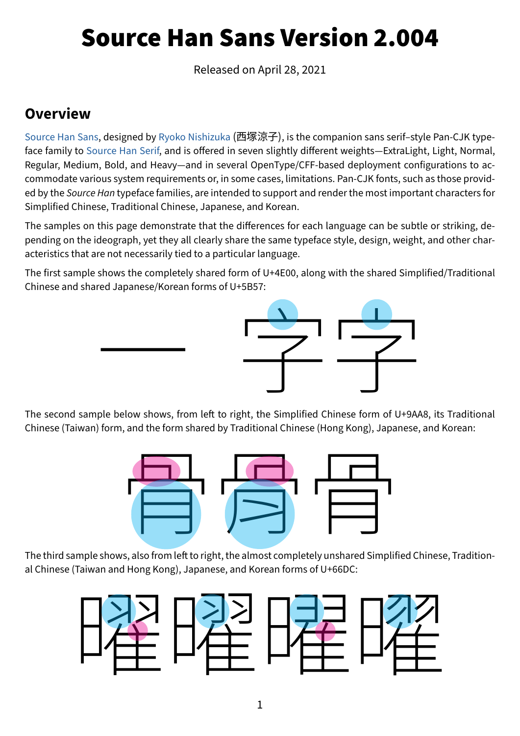# Source Han Sans Version 2.004

Released on April 28, 2021

#### **Overview**

[Source Han Sans,](https://github.com/adobe-fonts/source-han-sans/) designed by [Ryoko Nishizuka](http://www.adobe.com/products/type/font-designers/ryoko-nishizuka.html) (西塚涼子), is the companion sans serif–style Pan-CJK typeface family to [Source Han Serif](https://github.com/adobe-fonts/source-han-serif/), and is offered in seven slightly different weights—ExtraLight, Light, Normal, Regular, Medium, Bold, and Heavy—and in several OpenType/CFF-based deployment configurations to accommodate various system requirements or, in some cases, limitations. Pan-CJK fonts, such as those provided by the *Source Han* typeface families, are intended to support and render the most important characters for Simplified Chinese, Traditional Chinese, Japanese, and Korean.

The samples on this page demonstrate that the differences for each language can be subtle or striking, depending on the ideograph, yet they all clearly share the same typeface style, design, weight, and other characteristics that are not necessarily tied to a particular language.

The first sample shows the completely shared form of U+4E00, along with the shared Simplified/Traditional Chinese and shared Japanese/Korean forms of U+5B57:



Chinese (Taiwan) form, and the form shared by Traditional Chinese (Hong Kong), Japanese, and Korean:



al Chinese (Taiwan and Hong Kong), Japanese, and Korean forms of U+66DC:

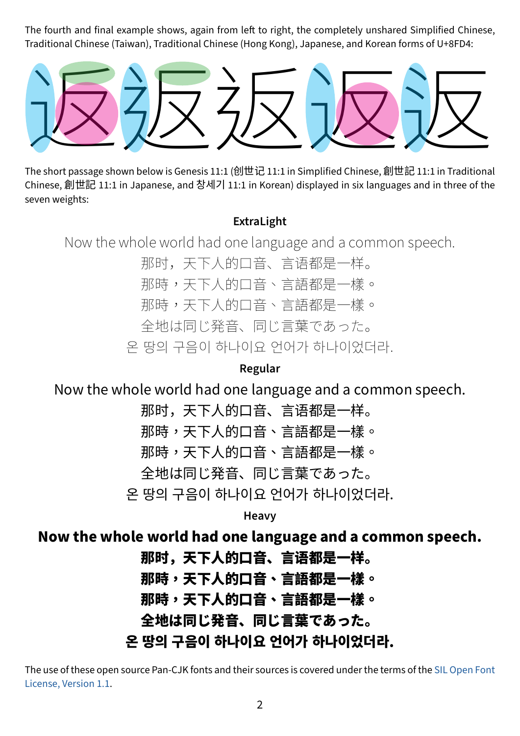The fourth and final example shows, again from left to right, the completely unshared Simplified Chinese, Traditional Chinese (Taiwan), Traditional Chinese (Hong Kong), Japanese, and Korean forms of U+8FD4:



Chinese, 創世記 11:1 in Japanese, and 창세기 11:1 in Korean) displayed in six languages and in three of the seven weights:

#### **ExtraLight**

Now the whole world had one language and a common speech.

那时,天下人的口音、言语都是一样。 那時,天下人的口音、言語都是一樣。 那時,天下人的口音、言語都是一樣。 全地は同じ発音、同じ言葉であった。 온 땅의 구음이 하나이요 언어가 하나이었더라.

**Regular**

Now the whole world had one language and a common speech.

那时,天下人的口音、言语都是一样。 那時,天下人的口音、言語都是一樣。 那時,天下人的口音、言語都是一樣。 全地は同じ発音、同じ言葉であった。 온 땅의 구음이 하나이요 언어가 하나이었더라.

**Heavy**

### Now the whole world had one language and a common speech.

那时,天下人的口音、言语都是一样。 那時,天下人的口音、言語都是一樣。 那時,天下人的口音、言語都是一樣。 全地は同じ発音、同じ言葉であった。 온 땅의 구음이 하나이요 언어가 하나이었더라.

The use of these open source Pan-CJK fonts and their sources is covered under the terms of the [SIL Open Font](http://scripts.sil.org/OFL)  [License, Version 1.1.](http://scripts.sil.org/OFL)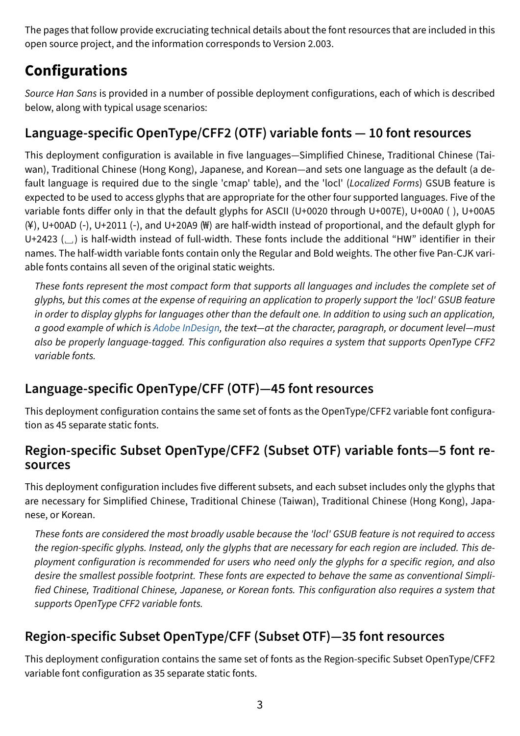The pages that follow provide excruciating technical details about the font resources that are included in this open source project, and the information corresponds to Version 2.003.

# **Configurations**

*Source Han Sans* is provided in a number of possible deployment configurations, each of which is described below, along with typical usage scenarios:

#### **Language-specific OpenType/CFF2 (OTF) variable fonts — 10 font resources**

This deployment configuration is available in five languages—Simplified Chinese, Traditional Chinese (Taiwan), Traditional Chinese (Hong Kong), Japanese, and Korean—and sets one language as the default (a default language is required due to the single 'cmap' table), and the 'locl' (*Localized Forms*) GSUB feature is expected to be used to access glyphs that are appropriate for the other four supported languages. Five of the variable fonts differ only in that the default glyphs for ASCII (U+0020 through U+007E), U+00A0 ( ), U+00A5 (¥), U+00AD (‑), U+2011 (‑), and U+20A9 (₩) are half-width instead of proportional, and the default glyph for U+2423 (␣) is half-width instead of full-width. These fonts include the additional "HW" identifier in their names. The half-width variable fonts contain only the Regular and Bold weights. The other five Pan-CJK variable fonts contains all seven of the original static weights.

*These fonts represent the most compact form that supports all languages and includes the complete set of glyphs, but this comes at the expense of requiring an application to properly support the 'locl' GSUB feature in order to display glyphs for languages other than the default one. In addition to using such an application, a good example of which is [Adobe InDesign,](http://www.adobe.com/products/indesign.html) the text—at the character, paragraph, or document level—must also be properly language-tagged. This configuration also requires a system that supports OpenType CFF2 variable fonts.*

### **Language-specific OpenType/CFF (OTF)—45 font resources**

This deployment configuration contains the same set of fonts as the OpenType/CFF2 variable font configuration as 45 separate static fonts.

#### **Region-specific Subset OpenType/CFF2 (Subset OTF) variable fonts—5 font resources**

This deployment configuration includes five different subsets, and each subset includes only the glyphs that are necessary for Simplified Chinese, Traditional Chinese (Taiwan), Traditional Chinese (Hong Kong), Japanese, or Korean.

*These fonts are considered the most broadly usable because the 'locl' GSUB feature is not required to access the region-specific glyphs. Instead, only the glyphs that are necessary for each region are included. This deployment configuration is recommended for users who need only the glyphs for a specific region, and also desire the smallest possible footprint. These fonts are expected to behave the same as conventional Simplified Chinese, Traditional Chinese, Japanese, or Korean fonts. This configuration also requires a system that supports OpenType CFF2 variable fonts.*

### **Region-specific Subset OpenType/CFF (Subset OTF)—35 font resources**

This deployment configuration contains the same set of fonts as the Region-specific Subset OpenType/CFF2 variable font configuration as 35 separate static fonts.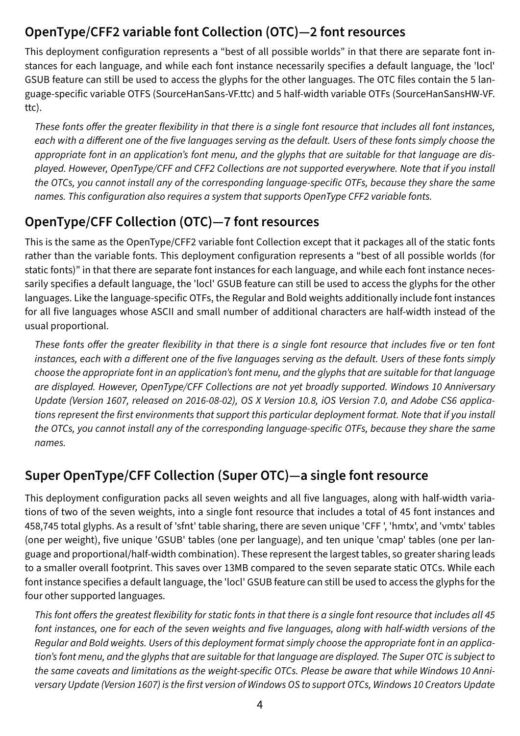### **OpenType/CFF2 variable font Collection (OTC)—2 font resources**

This deployment configuration represents a "best of all possible worlds" in that there are separate font instances for each language, and while each font instance necessarily specifies a default language, the 'locl' GSUB feature can still be used to access the glyphs for the other languages. The OTC files contain the 5 language-specific variable OTFS (SourceHanSans-VF.ttc) and 5 half-width variable OTFs (SourceHanSansHW-VF. ttc).

*These fonts offer the greater flexibility in that there is a single font resource that includes all font instances, each with a different one of the five languages serving as the default. Users of these fonts simply choose the appropriate font in an application's font menu, and the glyphs that are suitable for that language are displayed. However, OpenType/CFF and CFF2 Collections are not supported everywhere. Note that if you install the OTCs, you cannot install any of the corresponding language-specific OTFs, because they share the same names. This configuration also requires a system that supports OpenType CFF2 variable fonts.*

#### **OpenType/CFF Collection (OTC)—7 font resources**

This is the same as the OpenType/CFF2 variable font Collection except that it packages all of the static fonts rather than the variable fonts. This deployment configuration represents a "best of all possible worlds (for static fonts)" in that there are separate font instances for each language, and while each font instance necessarily specifies a default language, the 'locl' GSUB feature can still be used to access the glyphs for the other languages. Like the language-specific OTFs, the Regular and Bold weights additionally include font instances for all five languages whose ASCII and small number of additional characters are half-width instead of the usual proportional.

*These fonts offer the greater flexibility in that there is a single font resource that includes five or ten font instances, each with a different one of the five languages serving as the default. Users of these fonts simply choose the appropriate font in an application's font menu, and the glyphs that are suitable for that language are displayed. However, OpenType/CFF Collections are not yet broadly supported. Windows 10 Anniversary Update (Version 1607, released on 2016-08-02), OS X Version 10.8, iOS Version 7.0, and Adobe CS6 applications represent the first environments that support this particular deployment format. Note that if you install the OTCs, you cannot install any of the corresponding language-specific OTFs, because they share the same names.*

#### **Super OpenType/CFF Collection (Super OTC)—a single font resource**

This deployment configuration packs all seven weights and all five languages, along with half-width variations of two of the seven weights, into a single font resource that includes a total of 45 font instances and 458,745 total glyphs. As a result of 'sfnt' table sharing, there are seven unique 'CFF ', 'hmtx', and 'vmtx' tables (one per weight), five unique 'GSUB' tables (one per language), and ten unique 'cmap' tables (one per language and proportional/half-width combination). These represent the largest tables, so greater sharing leads to a smaller overall footprint. This saves over 13MB compared to the seven separate static OTCs. While each font instance specifies a default language, the 'locl' GSUB feature can still be used to access the glyphs for the four other supported languages.

*This font offers the greatest flexibility for static fonts in that there is a single font resource that includes all 45 font instances, one for each of the seven weights and five languages, along with half-width versions of the Regular and Bold weights. Users of this deployment format simply choose the appropriate font in an application's font menu, and the glyphs that are suitable for that language are displayed. The Super OTC is subject to the same caveats and limitations as the weight-specific OTCs. Please be aware that while Windows 10 Anniversary Update (Version 1607) is the first version of Windows OS to support OTCs, Windows 10 Creators Update*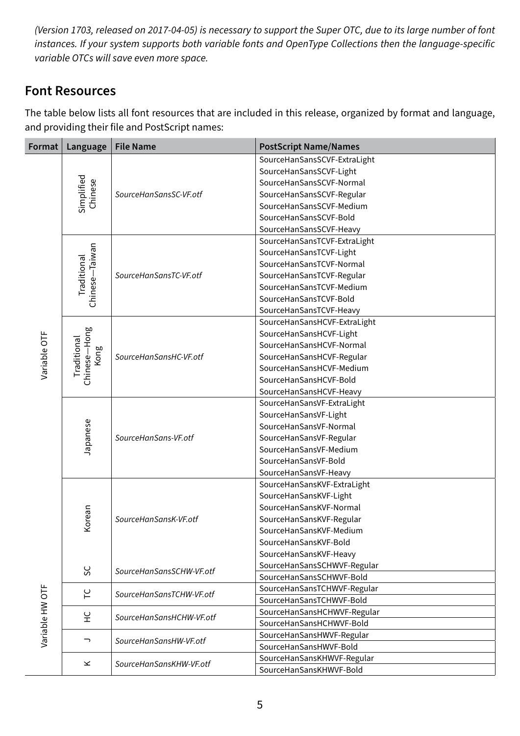*(Version 1703, released on 2017-04-05) is necessary to support the Super OTC, due to its large number of font instances. If your system supports both variable fonts and OpenType Collections then the language-specific variable OTCs will save even more space.*

#### <span id="page-4-0"></span>**Font Resources**

The table below lists all font resources that are included in this release, organized by format and language, and providing their file and PostScript names:

| Format          | Language                      | <b>File Name</b>         | <b>PostScript Name/Names</b>                          |
|-----------------|-------------------------------|--------------------------|-------------------------------------------------------|
|                 |                               |                          | SourceHanSansSCVF-ExtraLight                          |
|                 |                               |                          | SourceHanSansSCVF-Light                               |
|                 |                               |                          | SourceHanSansSCVF-Normal                              |
|                 | Chinese                       | SourceHanSansSC-VF.otf   | SourceHanSansSCVF-Regular                             |
|                 | Simplified                    |                          | SourceHanSansSCVF-Medium                              |
|                 |                               |                          | SourceHanSansSCVF-Bold                                |
|                 |                               |                          | SourceHanSansSCVF-Heavy                               |
|                 |                               |                          | SourceHanSansTCVF-ExtraLight                          |
|                 |                               |                          | SourceHanSansTCVF-Light                               |
|                 | Chinese-Taiwan<br>Traditional |                          | SourceHanSansTCVF-Normal                              |
|                 |                               | SourceHanSansTC-VF.otf   | SourceHanSansTCVF-Regular                             |
|                 |                               |                          | SourceHanSansTCVF-Medium                              |
|                 |                               |                          | SourceHanSansTCVF-Bold                                |
|                 |                               |                          | SourceHanSansTCVF-Heavy                               |
|                 |                               |                          | SourceHanSansHCVF-ExtraLight                          |
|                 |                               |                          | SourceHanSansHCVF-Light                               |
|                 |                               | SourceHanSansHC-VF.otf   | SourceHanSansHCVF-Normal                              |
|                 | Kong                          |                          | SourceHanSansHCVF-Regular                             |
| Variable OTF    | Chinese-Hong<br>Traditional   |                          | SourceHanSansHCVF-Medium                              |
|                 |                               |                          | SourceHanSansHCVF-Bold                                |
|                 |                               |                          | SourceHanSansHCVF-Heavy                               |
|                 |                               |                          | SourceHanSansVF-ExtraLight                            |
|                 |                               |                          | SourceHanSansVF-Light                                 |
|                 |                               |                          | SourceHanSansVF-Normal                                |
|                 | Japanese                      | SourceHanSans-VF.otf     | SourceHanSansVF-Regular                               |
|                 |                               |                          | SourceHanSansVF-Medium                                |
|                 |                               |                          | SourceHanSansVF-Bold                                  |
|                 |                               |                          | SourceHanSansVF-Heavy                                 |
|                 |                               |                          | SourceHanSansKVF-ExtraLight                           |
|                 |                               |                          | SourceHanSansKVF-Light                                |
|                 |                               |                          | SourceHanSansKVF-Normal                               |
|                 | Corean                        | SourceHanSansK-VF.otf    | SourceHanSansKVF-Regular                              |
|                 |                               |                          | SourceHanSansKVF-Medium                               |
|                 |                               |                          | SourceHanSansKVF-Bold                                 |
|                 |                               |                          | SourceHanSansKVF-Heavy                                |
|                 | SC                            | SourceHanSansSCHW-VF.otf | SourceHanSansSCHWVF-Regular                           |
|                 |                               |                          | SourceHanSansSCHWVF-Bold                              |
|                 | 51                            | SourceHanSansTCHW-VF.otf | SourceHanSansTCHWVF-Regular                           |
|                 |                               |                          | SourceHanSansTCHWVF-Bold                              |
|                 | 오                             | SourceHanSansHCHW-VF.otf | SourceHanSansHCHWVF-Regular                           |
|                 |                               |                          | SourceHanSansHCHWVF-Bold                              |
| Variable HW OTF | っ                             | SourceHanSansHW-VF.otf   | SourceHanSansHWVF-Regular                             |
|                 |                               |                          | SourceHanSansHWVF-Bold                                |
|                 | $\leq$                        | SourceHanSansKHW-VF.otf  | SourceHanSansKHWVF-Regular<br>SourceHanSansKHWVF-Bold |
|                 |                               |                          |                                                       |

5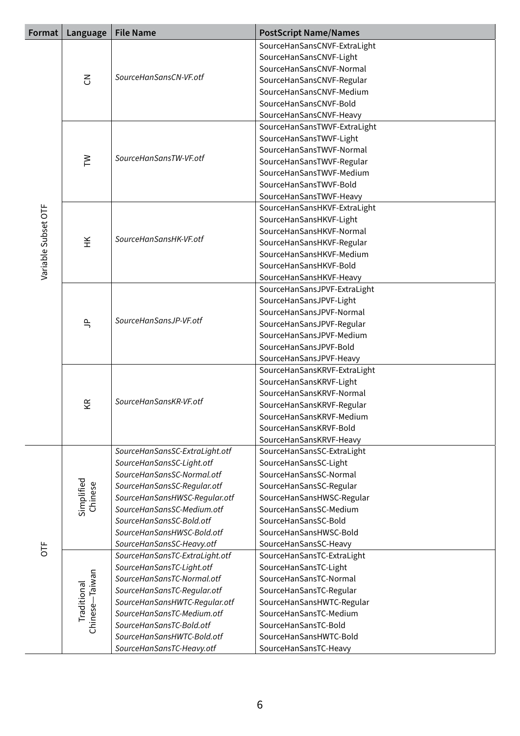| Format              | Language                             | <b>File Name</b>               | <b>PostScript Name/Names</b>                          |                         |
|---------------------|--------------------------------------|--------------------------------|-------------------------------------------------------|-------------------------|
|                     |                                      |                                | SourceHanSansCNVF-ExtraLight                          |                         |
|                     |                                      |                                | SourceHanSansCNVF-Light                               |                         |
|                     |                                      |                                | SourceHanSansCNVF-Normal                              |                         |
|                     | $\mathcal{E}$                        | SourceHanSansCN-VF.otf         | SourceHanSansCNVF-Regular                             |                         |
|                     |                                      |                                | SourceHanSansCNVF-Medium                              |                         |
|                     |                                      |                                | SourceHanSansCNVF-Bold                                |                         |
|                     |                                      |                                | SourceHanSansCNVF-Heavy                               |                         |
|                     |                                      |                                | SourceHanSansTWVF-ExtraLight                          |                         |
|                     |                                      |                                | SourceHanSansTWVF-Light                               |                         |
|                     |                                      | SourceHanSansTW-VF.otf         | SourceHanSansTWVF-Normal                              |                         |
|                     | $\geq$                               |                                | SourceHanSansTWVF-Regular<br>SourceHanSansTWVF-Medium |                         |
|                     |                                      |                                | SourceHanSansTWVF-Bold                                |                         |
|                     |                                      |                                | SourceHanSansTWVF-Heavy                               |                         |
|                     |                                      |                                | SourceHanSansHKVF-ExtraLight                          |                         |
|                     |                                      |                                | SourceHanSansHKVF-Light                               |                         |
|                     |                                      |                                | SourceHanSansHKVF-Normal                              |                         |
|                     | ¥                                    | SourceHanSansHK-VF.otf         | SourceHanSansHKVF-Regular                             |                         |
|                     |                                      |                                | SourceHanSansHKVF-Medium                              |                         |
| Variable Subset OTF |                                      |                                | SourceHanSansHKVF-Bold                                |                         |
|                     |                                      |                                | SourceHanSansHKVF-Heavy                               |                         |
|                     |                                      |                                | SourceHanSansJPVF-ExtraLight                          |                         |
|                     |                                      |                                | SourceHanSansJPVF-Light                               |                         |
|                     | $\frac{\rho}{\rho}$                  |                                | SourceHanSansJPVF-Normal                              |                         |
|                     |                                      | SourceHanSansJP-VF.otf         | SourceHanSansJPVF-Regular                             |                         |
|                     |                                      |                                | SourceHanSansJPVF-Medium                              |                         |
|                     |                                      |                                | SourceHanSansJPVF-Bold                                |                         |
|                     |                                      |                                | SourceHanSansJPVF-Heavy                               |                         |
|                     | ΚŘ                                   | SourceHanSansKR-VF.otf         | SourceHanSansKRVF-ExtraLight                          |                         |
|                     |                                      |                                | SourceHanSansKRVF-Light                               |                         |
|                     |                                      |                                | SourceHanSansKRVF-Normal                              |                         |
|                     |                                      |                                | SourceHanSansKRVF-Regular                             |                         |
|                     |                                      |                                | SourceHanSansKRVF-Medium<br>SourceHanSansKRVF-Bold    |                         |
|                     |                                      |                                |                                                       | SourceHanSansKRVF-Heavy |
|                     |                                      | SourceHanSansSC-ExtraLight.otf | SourceHanSansSC-ExtraLight                            |                         |
|                     |                                      | SourceHanSansSC-Light.otf      | SourceHanSansSC-Light                                 |                         |
|                     |                                      | SourceHanSansSC-Normal.otf     | SourceHanSansSC-Normal                                |                         |
|                     |                                      | SourceHanSansSC-Regular.otf    | SourceHanSansSC-Regular                               |                         |
|                     | Simplified<br>Chinese                | SourceHanSansHWSC-Regular.otf  | SourceHanSansHWSC-Regular                             |                         |
|                     |                                      | SourceHanSansSC-Medium.otf     | SourceHanSansSC-Medium                                |                         |
|                     |                                      | SourceHanSansSC-Bold.otf       | SourceHanSansSC-Bold                                  |                         |
|                     |                                      | SourceHanSansHWSC-Bold.otf     | SourceHanSansHWSC-Bold                                |                         |
| b                   |                                      | SourceHanSansSC-Heavy.otf      | SourceHanSansSC-Heavy                                 |                         |
|                     |                                      | SourceHanSansTC-ExtraLight.otf | SourceHanSansTC-ExtraLight                            |                         |
|                     |                                      | SourceHanSansTC-Light.otf      | SourceHanSansTC-Light                                 |                         |
|                     |                                      | SourceHanSansTC-Normal.otf     | SourceHanSansTC-Normal                                |                         |
|                     | Chinese-Taiwan<br><b>Traditional</b> | SourceHanSansTC-Regular.otf    | SourceHanSansTC-Regular                               |                         |
|                     |                                      | SourceHanSansHWTC-Regular.otf  | SourceHanSansHWTC-Regular                             |                         |
|                     |                                      | SourceHanSansTC-Medium.otf     | SourceHanSansTC-Medium                                |                         |
|                     |                                      |                                | SourceHanSansTC-Bold.otf                              | SourceHanSansTC-Bold    |
|                     |                                      |                                | SourceHanSansHWTC-Bold.otf                            | SourceHanSansHWTC-Bold  |
|                     |                                      | SourceHanSansTC-Heavy.otf      | SourceHanSansTC-Heavy                                 |                         |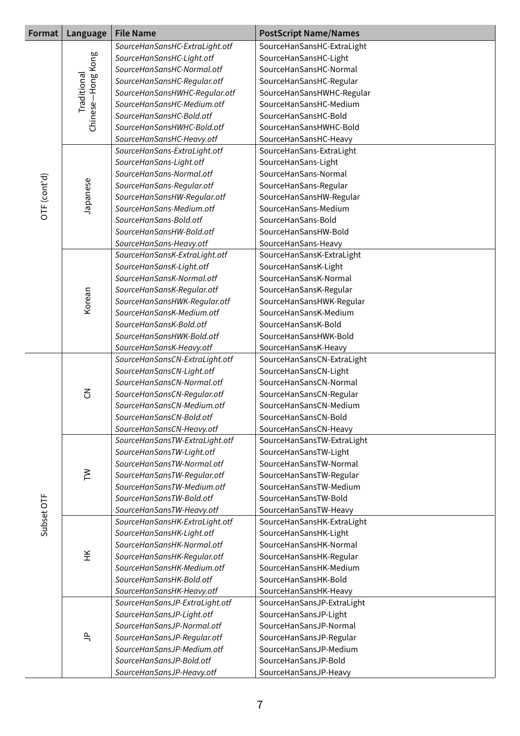| <b>File Name</b><br><b>PostScript Name/Names</b><br>Format<br>Language |                   |                                                           |                                                   |
|------------------------------------------------------------------------|-------------------|-----------------------------------------------------------|---------------------------------------------------|
|                                                                        |                   | SourceHanSansHC-ExtraLight.otf                            | SourceHanSansHC-ExtraLight                        |
|                                                                        |                   | SourceHanSansHC-Light.otf                                 | SourceHanSansHC-Light                             |
|                                                                        | Traditional       | SourceHanSansHC-Normal.otf                                | SourceHanSansHC-Normal                            |
|                                                                        |                   | SourceHanSansHC-Regular.otf                               | SourceHanSansHC-Regular                           |
|                                                                        |                   | SourceHanSansHWHC-Regular.otf                             | SourceHanSansHWHC-Regular                         |
|                                                                        | Chinese-Hong Kong | SourceHanSansHC-Medium.otf                                | SourceHanSansHC-Medium                            |
|                                                                        |                   | SourceHanSansHC-Bold.otf                                  | SourceHanSansHC-Bold                              |
|                                                                        |                   | SourceHanSansHWHC-Bold.otf                                | SourceHanSansHWHC-Bold                            |
|                                                                        |                   | SourceHanSansHC-Heavy.otf                                 | SourceHanSansHC-Heavy                             |
|                                                                        |                   | SourceHanSans-ExtraLight.otf                              | SourceHanSans-ExtraLight                          |
|                                                                        |                   | SourceHanSans-Light.otf                                   | SourceHanSans-Light                               |
|                                                                        |                   | SourceHanSans-Normal.otf                                  | SourceHanSans-Normal                              |
| OTF (cont'd)                                                           | Japanese          | SourceHanSans-Regular.otf                                 | SourceHanSans-Regular                             |
|                                                                        |                   | SourceHanSansHW-Regular.otf                               | SourceHanSansHW-Regular                           |
|                                                                        |                   | SourceHanSans-Medium.otf                                  | SourceHanSans-Medium                              |
|                                                                        |                   | SourceHanSans-Bold.otf                                    | SourceHanSans-Bold                                |
|                                                                        |                   | SourceHanSansHW-Bold.otf                                  | SourceHanSansHW-Bold                              |
|                                                                        |                   | SourceHanSans-Heavy.otf                                   | SourceHanSans-Heavy                               |
|                                                                        |                   | SourceHanSansK-ExtraLight.otf                             | SourceHanSansK-ExtraLight                         |
|                                                                        |                   | SourceHanSansK-Light.otf                                  | SourceHanSansK-Light                              |
|                                                                        |                   | SourceHanSansK-Normal.otf                                 | SourceHanSansK-Normal                             |
|                                                                        |                   | SourceHanSansK-Regular.otf                                | SourceHanSansK-Regular                            |
|                                                                        | Korean            | SourceHanSansHWK-Regular.otf                              | SourceHanSansHWK-Regular                          |
|                                                                        |                   | SourceHanSansK-Medium.otf                                 | SourceHanSansK-Medium                             |
|                                                                        |                   | SourceHanSansK-Bold.otf                                   | SourceHanSansK-Bold                               |
|                                                                        |                   | SourceHanSansHWK-Bold.otf                                 | SourceHanSansHWK-Bold                             |
|                                                                        |                   | SourceHanSansK-Heavy.otf                                  | SourceHanSansK-Heavy                              |
|                                                                        | $\mathcal{E}$     | SourceHanSansCN-ExtraLight.otf                            | SourceHanSansCN-ExtraLight                        |
|                                                                        |                   | SourceHanSansCN-Light.otf                                 | SourceHanSansCN-Light                             |
|                                                                        |                   | SourceHanSansCN-Normal.otf                                | SourceHanSansCN-Normal                            |
|                                                                        |                   | SourceHanSansCN-Regular.otf                               | SourceHanSansCN-Regular                           |
|                                                                        |                   | SourceHanSansCN-Medium.otf                                | SourceHanSansCN-Medium                            |
|                                                                        |                   | SourceHanSansCN-Bold.otf                                  | SourceHanSansCN-Bold                              |
|                                                                        |                   | SourceHanSansCN-Heavy.otf                                 | SourceHanSansCN-Heavy                             |
|                                                                        |                   | SourceHanSansTW-ExtraLight.otf                            | SourceHanSansTW-ExtraLight                        |
|                                                                        |                   | SourceHanSansTW-Light.otf                                 | SourceHanSansTW-Light                             |
|                                                                        |                   | SourceHanSansTW-Normal.otf                                | SourceHanSansTW-Normal                            |
|                                                                        | $\geq$            | SourceHanSansTW-Regular.otf                               | SourceHanSansTW-Regular                           |
|                                                                        |                   | SourceHanSansTW-Medium.otf                                | SourceHanSansTW-Medium                            |
|                                                                        |                   | SourceHanSansTW-Bold.otf                                  | SourceHanSansTW-Bold                              |
| Subset OTF                                                             |                   | SourceHanSansTW-Heavy.otf                                 | SourceHanSansTW-Heavy                             |
|                                                                        |                   | SourceHanSansHK-ExtraLight.otf                            | SourceHanSansHK-ExtraLight                        |
|                                                                        |                   | SourceHanSansHK-Light.otf<br>SourceHanSansHK-Normal.otf   | SourceHanSansHK-Light                             |
|                                                                        | ¥                 |                                                           | SourceHanSansHK-Normal                            |
|                                                                        |                   | SourceHanSansHK-Regular.otf<br>SourceHanSansHK-Medium.otf | SourceHanSansHK-Regular<br>SourceHanSansHK-Medium |
|                                                                        |                   | SourceHanSansHK-Bold.otf                                  | SourceHanSansHK-Bold                              |
|                                                                        |                   | SourceHanSansHK-Heavy.otf                                 | SourceHanSansHK-Heavy                             |
|                                                                        |                   | SourceHanSansJP-ExtraLight.otf                            | SourceHanSansJP-ExtraLight                        |
|                                                                        |                   | SourceHanSansJP-Light.otf                                 | SourceHanSansJP-Light                             |
|                                                                        |                   | SourceHanSansJP-Normal.otf                                | SourceHanSansJP-Normal                            |
|                                                                        | $\exists$         | SourceHanSansJP-Regular.otf                               | SourceHanSansJP-Regular                           |
|                                                                        |                   | SourceHanSansJP-Medium.otf                                | SourceHanSansJP-Medium                            |
|                                                                        |                   | SourceHanSansJP-Bold.otf                                  | SourceHanSansJP-Bold                              |
|                                                                        |                   | SourceHanSansJP-Heavy.otf                                 | SourceHanSansJP-Heavy                             |
|                                                                        |                   |                                                           |                                                   |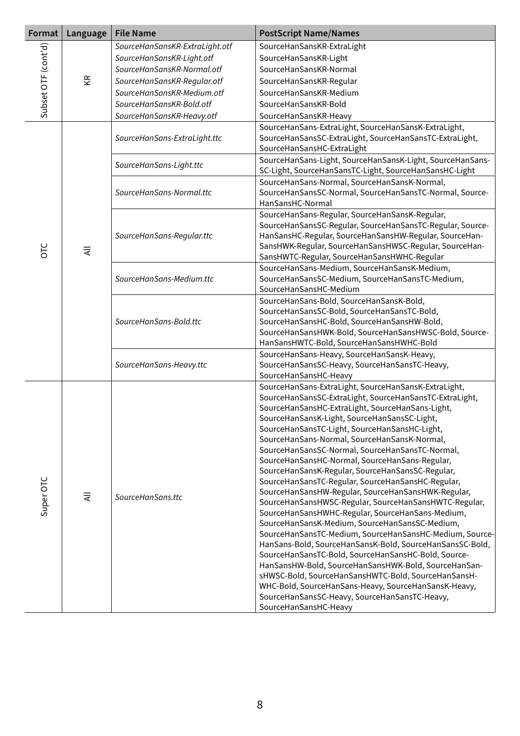| Format              | Language | <b>File Name</b><br><b>PostScript Name/Names</b> |                                                                                                                                                                                                                                                                                                                                                                                                                                                                                                                                                                                                                                                                                                                                                                                                                                                                                                                                                                                                                                                                                                                                                                                        |
|---------------------|----------|--------------------------------------------------|----------------------------------------------------------------------------------------------------------------------------------------------------------------------------------------------------------------------------------------------------------------------------------------------------------------------------------------------------------------------------------------------------------------------------------------------------------------------------------------------------------------------------------------------------------------------------------------------------------------------------------------------------------------------------------------------------------------------------------------------------------------------------------------------------------------------------------------------------------------------------------------------------------------------------------------------------------------------------------------------------------------------------------------------------------------------------------------------------------------------------------------------------------------------------------------|
|                     |          | SourceHanSansKR-ExtraLight.otf                   | SourceHanSansKR-ExtraLight                                                                                                                                                                                                                                                                                                                                                                                                                                                                                                                                                                                                                                                                                                                                                                                                                                                                                                                                                                                                                                                                                                                                                             |
|                     |          | SourceHanSansKR-Light.otf                        | SourceHanSansKR-Light                                                                                                                                                                                                                                                                                                                                                                                                                                                                                                                                                                                                                                                                                                                                                                                                                                                                                                                                                                                                                                                                                                                                                                  |
|                     |          | SourceHanSansKR-Normal.otf                       | SourceHanSansKR-Normal                                                                                                                                                                                                                                                                                                                                                                                                                                                                                                                                                                                                                                                                                                                                                                                                                                                                                                                                                                                                                                                                                                                                                                 |
|                     | ΚR       | SourceHanSansKR-Regular.otf                      | SourceHanSansKR-Regular                                                                                                                                                                                                                                                                                                                                                                                                                                                                                                                                                                                                                                                                                                                                                                                                                                                                                                                                                                                                                                                                                                                                                                |
|                     |          | SourceHanSansKR-Medium.otf                       | SourceHanSansKR-Medium                                                                                                                                                                                                                                                                                                                                                                                                                                                                                                                                                                                                                                                                                                                                                                                                                                                                                                                                                                                                                                                                                                                                                                 |
| Subset OTF (cont'd) |          | SourceHanSansKR-Bold.otf                         | SourceHanSansKR-Bold                                                                                                                                                                                                                                                                                                                                                                                                                                                                                                                                                                                                                                                                                                                                                                                                                                                                                                                                                                                                                                                                                                                                                                   |
|                     |          | SourceHanSansKR-Heavy.otf                        | SourceHanSansKR-Heavy                                                                                                                                                                                                                                                                                                                                                                                                                                                                                                                                                                                                                                                                                                                                                                                                                                                                                                                                                                                                                                                                                                                                                                  |
|                     |          | SourceHanSans-ExtraLight.ttc                     | SourceHanSans-ExtraLight, SourceHanSansK-ExtraLight,<br>SourceHanSansSC-ExtraLight, SourceHanSansTC-ExtraLight,<br>SourceHanSansHC-ExtraLight                                                                                                                                                                                                                                                                                                                                                                                                                                                                                                                                                                                                                                                                                                                                                                                                                                                                                                                                                                                                                                          |
|                     |          | SourceHanSans-Light.ttc                          | SourceHanSans-Light, SourceHanSansK-Light, SourceHanSans-<br>SC-Light, SourceHanSansTC-Light, SourceHanSansHC-Light                                                                                                                                                                                                                                                                                                                                                                                                                                                                                                                                                                                                                                                                                                                                                                                                                                                                                                                                                                                                                                                                    |
|                     |          | SourceHanSans-Normal.ttc                         | SourceHanSans-Normal, SourceHanSansK-Normal,<br>SourceHanSansSC-Normal, SourceHanSansTC-Normal, Source-<br>HanSansHC-Normal                                                                                                                                                                                                                                                                                                                                                                                                                                                                                                                                                                                                                                                                                                                                                                                                                                                                                                                                                                                                                                                            |
| OTC                 | ₹        | SourceHanSans-Regular.ttc                        | SourceHanSans-Regular, SourceHanSansK-Regular,<br>SourceHanSansSC-Regular, SourceHanSansTC-Regular, Source-<br>HanSansHC-Regular, SourceHanSansHW-Regular, SourceHan-<br>SansHWK-Regular, SourceHanSansHWSC-Regular, SourceHan-<br>SansHWTC-Regular, SourceHanSansHWHC-Regular                                                                                                                                                                                                                                                                                                                                                                                                                                                                                                                                                                                                                                                                                                                                                                                                                                                                                                         |
|                     |          | SourceHanSans-Medium.ttc                         | SourceHanSans-Medium, SourceHanSansK-Medium,<br>SourceHanSansSC-Medium, SourceHanSansTC-Medium,<br>SourceHanSansHC-Medium                                                                                                                                                                                                                                                                                                                                                                                                                                                                                                                                                                                                                                                                                                                                                                                                                                                                                                                                                                                                                                                              |
|                     |          |                                                  | SourceHanSans-Bold.ttc                                                                                                                                                                                                                                                                                                                                                                                                                                                                                                                                                                                                                                                                                                                                                                                                                                                                                                                                                                                                                                                                                                                                                                 |
|                     |          | SourceHanSans-Heavy.ttc                          | SourceHanSans-Heavy, SourceHanSansK-Heavy,<br>SourceHanSansSC-Heavy, SourceHanSansTC-Heavy,<br>SourceHanSansHC-Heavy                                                                                                                                                                                                                                                                                                                                                                                                                                                                                                                                                                                                                                                                                                                                                                                                                                                                                                                                                                                                                                                                   |
| Super OTC           | ₹        | SourceHanSans.ttc                                | SourceHanSans-ExtraLight, SourceHanSansK-ExtraLight,<br>SourceHanSansSC-ExtraLight, SourceHanSansTC-ExtraLight,<br>SourceHanSansHC-ExtraLight, SourceHanSans-Light,<br>SourceHanSansK-Light, SourceHanSansSC-Light,<br>SourceHanSansTC-Light, SourceHanSansHC-Light,<br>SourceHanSans-Normal, SourceHanSansK-Normal,<br>SourceHanSansSC-Normal, SourceHanSansTC-Normal,<br>SourceHanSansHC-Normal, SourceHanSans-Regular,<br>SourceHanSansK-Regular, SourceHanSansSC-Regular,<br>SourceHanSansTC-Regular, SourceHanSansHC-Regular,<br>SourceHanSansHW-Regular, SourceHanSansHWK-Regular,<br>SourceHanSansHWSC-Regular, SourceHanSansHWTC-Regular,<br>SourceHanSansHWHC-Regular, SourceHanSans-Medium,<br>SourceHanSansK-Medium, SourceHanSansSC-Medium,<br>SourceHanSansTC-Medium, SourceHanSansHC-Medium, Source-<br>HanSans-Bold, SourceHanSansK-Bold, SourceHanSansSC-Bold,<br>SourceHanSansTC-Bold, SourceHanSansHC-Bold, Source-<br>HanSansHW-Bold, SourceHanSansHWK-Bold, SourceHanSan-<br>sHWSC-Bold, SourceHanSansHWTC-Bold, SourceHanSansH-<br>WHC-Bold, SourceHanSans-Heavy, SourceHanSansK-Heavy,<br>SourceHanSansSC-Heavy, SourceHanSansTC-Heavy,<br>SourceHanSansHC-Heavy |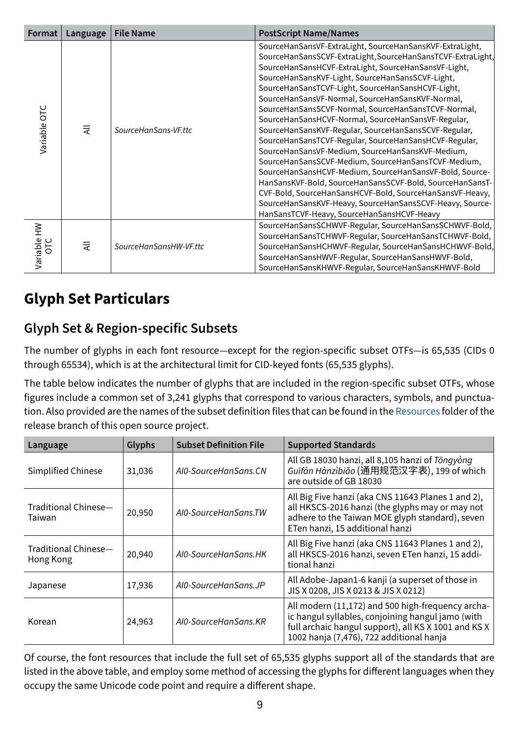| Format       | Language | <b>File Name</b>       | <b>PostScript Name/Names</b>                                                                                                                                                                                                                                                                                                                                                                                                                                                                                                                                                                                                                                                                                                                                                                                                                                                                                                                                                       |
|--------------|----------|------------------------|------------------------------------------------------------------------------------------------------------------------------------------------------------------------------------------------------------------------------------------------------------------------------------------------------------------------------------------------------------------------------------------------------------------------------------------------------------------------------------------------------------------------------------------------------------------------------------------------------------------------------------------------------------------------------------------------------------------------------------------------------------------------------------------------------------------------------------------------------------------------------------------------------------------------------------------------------------------------------------|
| Variable OTC | ₹        | SourceHanSans-VF.ttc   | SourceHanSansVF-ExtraLight, SourceHanSansKVF-ExtraLight,<br>SourceHanSansSCVF-ExtraLight, SourceHanSansTCVF-ExtraLight,<br>SourceHanSansHCVF-ExtraLight, SourceHanSansVF-Light,<br>SourceHanSansKVF-Light, SourceHanSansSCVF-Light,<br>SourceHanSansTCVF-Light, SourceHanSansHCVF-Light,<br>SourceHanSansVF-Normal, SourceHanSansKVF-Normal,<br>SourceHanSansSCVF-Normal, SourceHanSansTCVF-Normal,<br>SourceHanSansHCVF-Normal, SourceHanSansVF-Regular,<br>SourceHanSansKVF-Regular, SourceHanSansSCVF-Regular,<br>SourceHanSansTCVF-Regular, SourceHanSansHCVF-Regular,<br>SourceHanSansVF-Medium, SourceHanSansKVF-Medium,<br>SourceHanSansSCVF-Medium, SourceHanSansTCVF-Medium,<br>SourceHanSansHCVF-Medium, SourceHanSansVF-Bold, Source-<br>HanSansKVF-Bold, SourceHanSansSCVF-Bold, SourceHanSansT-<br>CVF-Bold, SourceHanSansHCVF-Bold, SourceHanSansVF-Heavy,<br>SourceHanSansKVF-Heavy, SourceHanSansSCVF-Heavy, Source-<br>HanSansTCVF-Heavy, SourceHanSansHCVF-Heavy |
| Variable HW  | ₹        | SourceHanSansHW-VF.ttc | SourceHanSansSCHWVF-Regular, SourceHanSansSCHWVF-Bold,<br>SourceHanSansTCHWVF-Regular, SourceHanSansTCHWVF-Bold,<br>SourceHanSansHCHWVF-Regular, SourceHanSansHCHWVF-Bold,<br>SourceHanSansHWVF-Regular, SourceHanSansHWVF-Bold,<br>SourceHanSansKHWVF-Regular, SourceHanSansKHWVF-Bold                                                                                                                                                                                                                                                                                                                                                                                                                                                                                                                                                                                                                                                                                            |

# **Glyph Set Particulars**

#### **Glyph Set & Region-specific Subsets**

The number of glyphs in each font resource—except for the region-specific subset OTFs—is 65,535 (CIDs 0 through 65534), which is at the architectural limit for CID-keyed fonts (65,535 glyphs).

The table below indicates the number of glyphs that are included in the region-specific subset OTFs, whose figures include a common set of 3,241 glyphs that correspond to various characters, symbols, and punctuation. Also provided are the names of the subset definition files that can be found in the [Resources](https://github.com/adobe-fonts/source-han-sans/tree/release/Resources/) folder of the release branch of this open source project.

| Language                          | Glyphs | <b>Subset Definition File</b> | <b>Supported Standards</b>                                                                                                                                                                                 |
|-----------------------------------|--------|-------------------------------|------------------------------------------------------------------------------------------------------------------------------------------------------------------------------------------------------------|
| Simplified Chinese                | 31,036 | AI0-SourceHanSans.CN          | All GB 18030 hanzi, all 8,105 hanzi of Tongyong<br>Guīfàn Hànzìbiǎo (通用规范汉字表), 199 of which<br>are outside of GB 18030                                                                                     |
| Traditional Chinese—<br>Taiwan    | 20,950 | AI0-SourceHanSans.TW          | All Big Five hanzi (aka CNS 11643 Planes 1 and 2),<br>all HKSCS-2016 hanzi (the glyphs may or may not<br>adhere to the Taiwan MOE glyph standard), seven<br>ETen hanzi, 15 additional hanzi                |
| Traditional Chinese-<br>Hong Kong | 20,940 | AI0-SourceHanSans.HK          | All Big Five hanzi (aka CNS 11643 Planes 1 and 2),<br>all HKSCS-2016 hanzi, seven ETen hanzi, 15 addi-<br>tional hanzi                                                                                     |
| Japanese                          | 17,936 | AI0-SourceHanSans.JP          | All Adobe-Japan1-6 kanji (a superset of those in<br>JIS X 0208, JIS X 0213 & JIS X 0212)                                                                                                                   |
| Korean                            | 24,963 | AI0-SourceHanSans.KR          | All modern (11,172) and 500 high-frequency archa-<br>ic hangul syllables, conjoining hangul jamo (with<br>full archaic hangul support), all KS X 1001 and KS X<br>1002 hanja (7,476), 722 additional hanja |

Of course, the font resources that include the full set of 65,535 glyphs support all of the standards that are listed in the above table, and employ some method of accessing the glyphs for different languages when they occupy the same Unicode code point and require a different shape.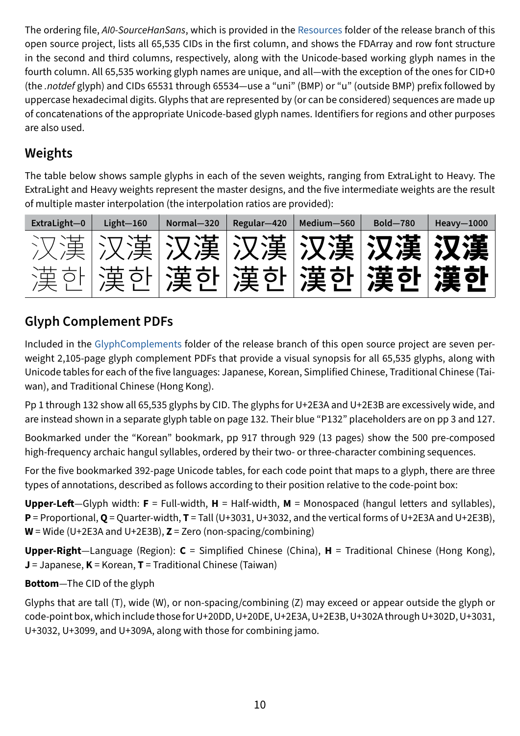The ordering file, *AI0-SourceHanSans*, which is provided in the [Resources](https://github.com/adobe-fonts/source-han-sans/tree/release/Resources/) folder of the release branch of this open source project, lists all 65,535 CIDs in the first column, and shows the FDArray and row font structure in the second and third columns, respectively, along with the Unicode-based working glyph names in the fourth column. All 65,535 working glyph names are unique, and all—with the exception of the ones for CID+0 (the *.notdef* glyph) and CIDs 65531 through 65534—use a "uni" (BMP) or "u" (outside BMP) prefix followed by uppercase hexadecimal digits. Glyphs that are represented by (or can be considered) sequences are made up of concatenations of the appropriate Unicode-based glyph names. Identifiers for regions and other purposes are also used.

# **Weights**

The table below shows sample glyphs in each of the seven weights, ranging from ExtraLight to Heavy. The ExtraLight and Heavy weights represent the master designs, and the five intermediate weights are the result of multiple master interpolation (the interpolation ratios are provided):



# **Glyph Complement PDFs**

Included in the [GlyphComplements](https://github.com/adobe-fonts/source-han-sans/tree/release/GlyphComplements/) folder of the release branch of this open source project are seven perweight 2,105-page glyph complement PDFs that provide a visual synopsis for all 65,535 glyphs, along with Unicode tables for each of the five languages: Japanese, Korean, Simplified Chinese, Traditional Chinese (Taiwan), and Traditional Chinese (Hong Kong).

Pp 1 through 132 show all 65,535 glyphs by CID. The glyphs for U+2E3A and U+2E3B are excessively wide, and are instead shown in a separate glyph table on page 132. Their blue "P132" placeholders are on pp 3 and 127.

Bookmarked under the "Korean" bookmark, pp 917 through 929 (13 pages) show the 500 pre-composed high-frequency archaic hangul syllables, ordered by their two- or three-character combining sequences.

For the five bookmarked 392-page Unicode tables, for each code point that maps to a glyph, there are three types of annotations, described as follows according to their position relative to the code-point box:

**Upper-Left**—Glyph width: **F** = Full-width, **H** = Half-width, **M** = Monospaced (hangul letters and syllables), **P** = Proportional, **Q** = Quarter-width, **T** = Tall (U+3031, U+3032, and the vertical forms of U+2E3A and U+2E3B), **W** = Wide (U+2E3A and U+2E3B), **Z** = Zero (non-spacing/combining)

**Upper-Right**—Language (Region): **C** = Simplified Chinese (China), **H** = Traditional Chinese (Hong Kong), **J** = Japanese, **K** = Korean, **T** = Traditional Chinese (Taiwan)

#### **Bottom**—The CID of the glyph

Glyphs that are tall (T), wide (W), or non-spacing/combining (Z) may exceed or appear outside the glyph or code-point box, which include those for U+20DD, U+20DE, U+2E3A, U+2E3B, U+302A through U+302D, U+3031, U+3032, U+3099, and U+309A, along with those for combining jamo.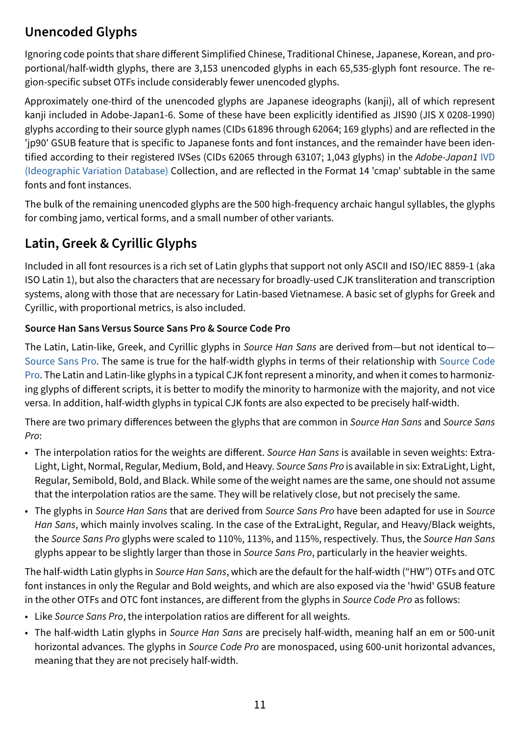#### **Unencoded Glyphs**

Ignoring code points that share different Simplified Chinese, Traditional Chinese, Japanese, Korean, and proportional/half-width glyphs, there are 3,153 unencoded glyphs in each 65,535-glyph font resource. The region-specific subset OTFs include considerably fewer unencoded glyphs.

Approximately one-third of the unencoded glyphs are Japanese ideographs (kanji), all of which represent kanji included in Adobe-Japan1-6. Some of these have been explicitly identified as JIS90 (JIS X 0208-1990) glyphs according to their source glyph names (CIDs 61896 through 62064; 169 glyphs) and are reflected in the 'jp90' GSUB feature that is specific to Japanese fonts and font instances, and the remainder have been identified according to their registered IVSes (CIDs 62065 through 63107; 1,043 glyphs) in the *Adobe-Japan1* [IVD](http://www.unicode.org/ivd/)  [\(Ideographic Variation Database\)](http://www.unicode.org/ivd/) Collection, and are reflected in the Format 14 'cmap' subtable in the same fonts and font instances.

The bulk of the remaining unencoded glyphs are the 500 high-frequency archaic hangul syllables, the glyphs for combing jamo, vertical forms, and a small number of other variants.

### **Latin, Greek & Cyrillic Glyphs**

Included in all font resources is a rich set of Latin glyphs that support not only ASCII and ISO/IEC 8859-1 (aka ISO Latin 1), but also the characters that are necessary for broadly-used CJK transliteration and transcription systems, along with those that are necessary for Latin-based Vietnamese. A basic set of glyphs for Greek and Cyrillic, with proportional metrics, is also included.

#### **Source Han Sans Versus Source Sans Pro & Source Code Pro**

The Latin, Latin-like, Greek, and Cyrillic glyphs in *Source Han Sans* are derived from—but not identical to— [Source Sans Pro](https://github.com/adobe-fonts/source-sans-pro/). The same is true for the half-width glyphs in terms of their relationship with [Source Code](https://github.com/adobe-fonts/source-code-pro/)  [Pro.](https://github.com/adobe-fonts/source-code-pro/) The Latin and Latin-like glyphs in a typical CJK font represent a minority, and when it comes to harmonizing glyphs of different scripts, it is better to modify the minority to harmonize with the majority, and not vice versa. In addition, half-width glyphs in typical CJK fonts are also expected to be precisely half-width.

There are two primary differences between the glyphs that are common in *Source Han Sans* and *Source Sans Pro*:

- The interpolation ratios for the weights are different. *Source Han Sans* is available in seven weights: Extra-Light, Light, Normal, Regular, Medium, Bold, and Heavy. *Source Sans Pro* is available in six: ExtraLight, Light, Regular, Semibold, Bold, and Black. While some of the weight names are the same, one should not assume that the interpolation ratios are the same. They will be relatively close, but not precisely the same.
- The glyphs in *Source Han Sans* that are derived from *Source Sans Pro* have been adapted for use in *Source Han Sans*, which mainly involves scaling. In the case of the ExtraLight, Regular, and Heavy/Black weights, the *Source Sans Pro* glyphs were scaled to 110%, 113%, and 115%, respectively. Thus, the *Source Han Sans* glyphs appear to be slightly larger than those in *Source Sans Pro*, particularly in the heavier weights.

The half-width Latin glyphs in *Source Han Sans*, which are the default for the half-width ("HW") OTFs and OTC font instances in only the Regular and Bold weights, and which are also exposed via the 'hwid' GSUB feature in the other OTFs and OTC font instances, are different from the glyphs in *Source Code Pro* as follows:

- Like *Source Sans Pro*, the interpolation ratios are different for all weights.
- The half-width Latin glyphs in *Source Han Sans* are precisely half-width, meaning half an em or 500-unit horizontal advances. The glyphs in *Source Code Pro* are monospaced, using 600-unit horizontal advances, meaning that they are not precisely half-width.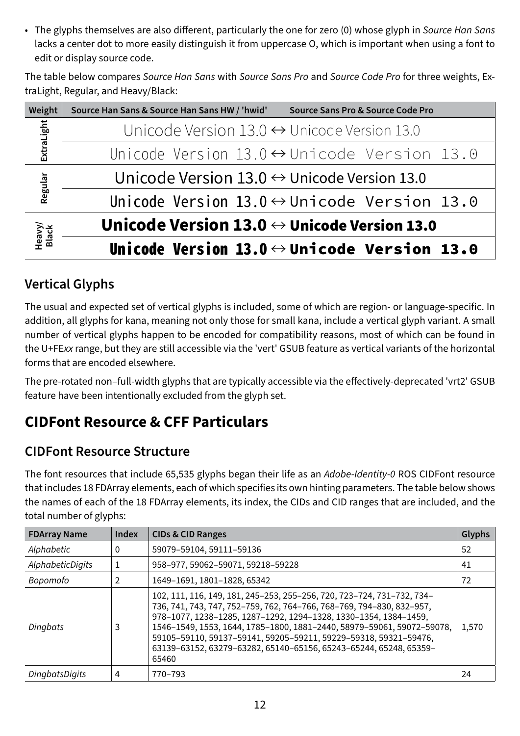• The glyphs themselves are also different, particularly the one for zero (0) whose glyph in *Source Han Sans* lacks a center dot to more easily distinguish it from uppercase O, which is important when using a font to edit or display source code.

The table below compares *Source Han Sans* with *Source Sans Pro* and *Source Code Pro* for three weights, ExtraLight, Regular, and Heavy/Black:

| Weight          | Source Han Sans & Source Han Sans HW / 'hwid'<br>Source Sans Pro & Source Code Pro |
|-----------------|------------------------------------------------------------------------------------|
| ExtraLight      | Unicode Version $13.0 \leftrightarrow$ Unicode Version 13.0                        |
|                 | Unicode Version $13.0 \leftrightarrow$ Unicode Version 13.0                        |
| Regular         | Unicode Version $13.0 \leftrightarrow$ Unicode Version 13.0                        |
|                 | Unicode Version $13.0 \leftrightarrow$ Unicode Version 13.0                        |
| Heavy/<br>Black | Unicode Version 13.0 $\leftrightarrow$ Unicode Version 13.0                        |
|                 | Unicode Version 13.0 $\leftrightarrow$ Unicode Version 13.0                        |

### **Vertical Glyphs**

The usual and expected set of vertical glyphs is included, some of which are region- or language-specific. In addition, all glyphs for kana, meaning not only those for small kana, include a vertical glyph variant. A small number of vertical glyphs happen to be encoded for compatibility reasons, most of which can be found in the U+FE*xx* range, but they are still accessible via the 'vert' GSUB feature as vertical variants of the horizontal forms that are encoded elsewhere.

The pre-rotated non–full-width glyphs that are typically accessible via the effectively-deprecated 'vrt2' GSUB feature have been intentionally excluded from the glyph set.

# **CIDFont Resource & CFF Particulars**

#### **CIDFont Resource Structure**

The font resources that include 65,535 glyphs began their life as an *Adobe-Identity-0* ROS CIDFont resource that includes 18 FDArray elements, each of which specifies its own hinting parameters. The table below shows the names of each of the 18 FDArray elements, its index, the CIDs and CID ranges that are included, and the total number of glyphs:

| <b>FDArray Name</b> | Index | <b>CIDs &amp; CID Ranges</b>                                                                                                                                                                                                                                                                                                                                                                                                                    | Glyphs |
|---------------------|-------|-------------------------------------------------------------------------------------------------------------------------------------------------------------------------------------------------------------------------------------------------------------------------------------------------------------------------------------------------------------------------------------------------------------------------------------------------|--------|
| Alphabetic          | 0     | 59079-59104, 59111-59136                                                                                                                                                                                                                                                                                                                                                                                                                        | 52     |
| AlphabeticDigits    |       | 958-977, 59062-59071, 59218-59228                                                                                                                                                                                                                                                                                                                                                                                                               | 41     |
| Bopomofo            | 2     | 1649-1691, 1801-1828, 65342                                                                                                                                                                                                                                                                                                                                                                                                                     | 72     |
| Dingbats            | 3     | 102, 111, 116, 149, 181, 245-253, 255-256, 720, 723-724, 731-732, 734-<br>736, 741, 743, 747, 752-759, 762, 764-766, 768-769, 794-830, 832-957,<br>978-1077, 1238-1285, 1287-1292, 1294-1328, 1330-1354, 1384-1459,<br>1546-1549, 1553, 1644, 1785-1800, 1881-2440, 58979-59061, 59072-59078,<br>59105-59110, 59137-59141, 59205-59211, 59229-59318, 59321-59476,<br>63139-63152, 63279-63282, 65140-65156, 65243-65244, 65248, 65359-<br>65460 | 1,570  |
| DingbatsDigits      | 4     | 770–793                                                                                                                                                                                                                                                                                                                                                                                                                                         | 24     |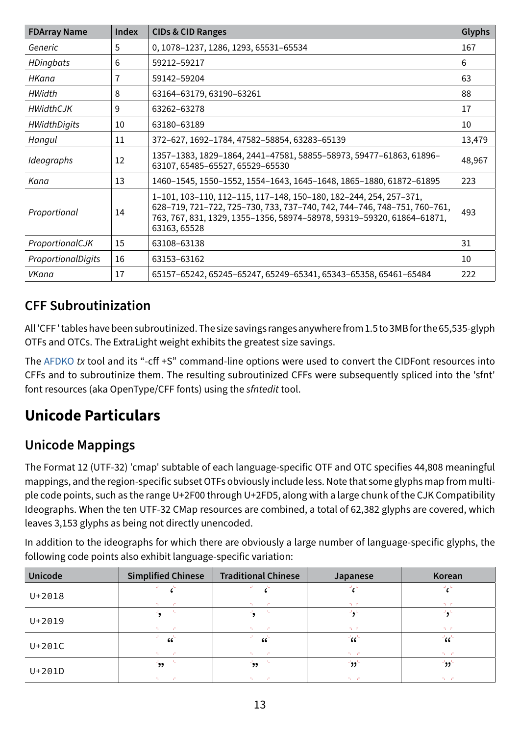| <b>FDArray Name</b> | <b>Index</b> | <b>CIDs &amp; CID Ranges</b>                                                                                                                                                                                                            | Glyphs |
|---------------------|--------------|-----------------------------------------------------------------------------------------------------------------------------------------------------------------------------------------------------------------------------------------|--------|
| Generic             | 5            | 0, 1078-1237, 1286, 1293, 65531-65534                                                                                                                                                                                                   | 167    |
| <b>HDingbats</b>    | 6            | 59212-59217                                                                                                                                                                                                                             | 6      |
| HKana               | 7            | 59142-59204                                                                                                                                                                                                                             | 63     |
| HWidth              | 8            | 63164-63179, 63190-63261                                                                                                                                                                                                                | 88     |
| <b>HWidthCJK</b>    | 9            | 63262-63278                                                                                                                                                                                                                             | 17     |
| <b>HWidthDigits</b> | 10           | 63180-63189                                                                                                                                                                                                                             | 10     |
| Hangul              | 11           | 372-627, 1692-1784, 47582-58854, 63283-65139                                                                                                                                                                                            | 13,479 |
| Ideographs          | 12           | 1357-1383, 1829-1864, 2441-47581, 58855-58973, 59477-61863, 61896-<br>63107, 65485-65527, 65529-65530                                                                                                                                   | 48,967 |
| Kana                | 13           | 1460-1545, 1550-1552, 1554-1643, 1645-1648, 1865-1880, 61872-61895                                                                                                                                                                      | 223    |
| Proportional        | 14           | 1-101, 103-110, 112-115, 117-148, 150-180, 182-244, 254, 257-371,<br>628-719, 721-722, 725-730, 733, 737-740, 742, 744-746, 748-751, 760-761,<br>763, 767, 831, 1329, 1355-1356, 58974-58978, 59319-59320, 61864-61871,<br>63163, 65528 | 493    |
| ProportionalCJK     | 15           | 63108-63138                                                                                                                                                                                                                             | 31     |
| ProportionalDigits  | 16           | 63153-63162                                                                                                                                                                                                                             | 10     |
| <b>VKana</b>        | 17           | 65157-65242, 65245-65247, 65249-65341, 65343-65358, 65461-65484                                                                                                                                                                         | 222    |

### **CFF Subroutinization**

All 'CFF ' tables have been subroutinized. The size savings ranges anywhere from 1.5 to 3MB for the 65,535-glyph OTFs and OTCs. The ExtraLight weight exhibits the greatest size savings.

The [AFDKO](https://github.com/adobe-type-tools/afdko/) *tx* tool and its "-cff +S" command-line options were used to convert the CIDFont resources into CFFs and to subroutinize them. The resulting subroutinized CFFs were subsequently spliced into the 'sfnt' font resources (aka OpenType/CFF fonts) using the *sfntedit* tool.

# **Unicode Particulars**

#### **Unicode Mappings**

The Format 12 (UTF-32) 'cmap' subtable of each language-specific OTF and OTC specifies 44,808 meaningful mappings, and the region-specific subset OTFs obviously include less. Note that some glyphs map from multiple code points, such as the range U+2F00 through U+2FD5, along with a large chunk of the CJK Compatibility Ideographs. When the ten UTF-32 CMap resources are combined, a total of 62,382 glyphs are covered, which leaves 3,153 glyphs as being not directly unencoded.

In addition to the ideographs for which there are obviously a large number of language-specific glyphs, the following code points also exhibit language-specific variation:

| <b>Unicode</b> | <b>Simplified Chinese</b>        | <b>Traditional Chinese</b>      | Japanese                            | Korean                |
|----------------|----------------------------------|---------------------------------|-------------------------------------|-----------------------|
| $U + 2018$     |                                  |                                 | 70 C                                | D. C.                 |
| $U + 2019$     | J.<br>The Co<br><b>COLL</b>      | <b>COLL</b><br>The Contract     | سائي اس<br>70 C                     | D. C.                 |
| $U+201C$       | $\epsilon \zeta$<br>Tur.<br>- 63 | $\epsilon \zeta$<br>- 61        | $\alpha^{\mu}$<br>70 C.C.           | ់័<br>70 C            |
| $U+201D$       | - 5<br>رو'<br>TU.<br>- 6         | $\rightarrow$<br>- 63<br>The Co | $^{\prime}$ נל $^{\prime}$<br>D. C. | $\mathbf{r}$<br>n - c |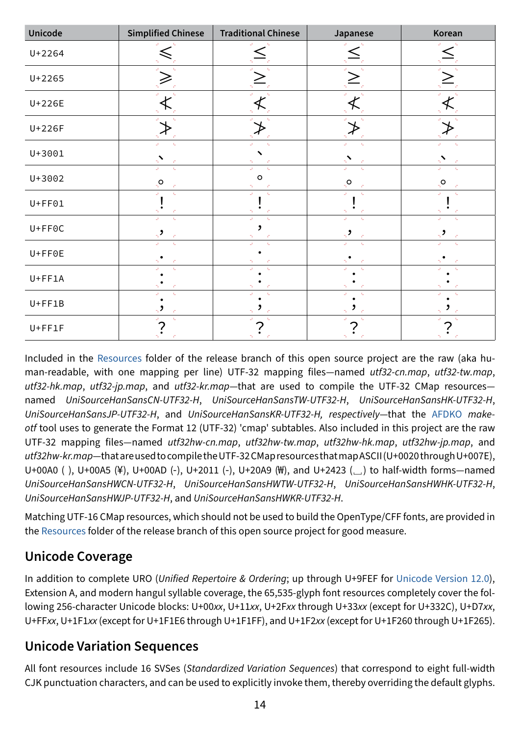| <b>Unicode</b> | <b>Simplified Chinese</b>                   | <b>Traditional Chinese</b> | Japanese                 | Korean                    |
|----------------|---------------------------------------------|----------------------------|--------------------------|---------------------------|
| U+2264         |                                             |                            |                          |                           |
| $U + 2265$     |                                             |                            |                          |                           |
| U+226E         |                                             |                            |                          |                           |
| U+226F         |                                             |                            |                          |                           |
| $U + 3001$     |                                             |                            | 57                       |                           |
| U+3002         | $\mathbf{L}$<br>$\mathsf{O}_{\mathbb{P}^1}$ | $\circ$                    | х.<br>$\mathbf{Q}_{\mu}$ | $Q_{\mu}$                 |
| $U + F F 0 1$  | $\mathbf{L}$                                | $\sim 10$                  | k.                       | $\mathbf{I}_{\text{int}}$ |
| $U + F F O C$  | $\mathbf{Q}$                                | $\mathbf{q}_i$             | Ù.<br>$\mathbf{q}_i$     | $\mathbf{q}_i$            |
| $U + F F 0 E$  | k.                                          |                            |                          |                           |
| $U + FF1A$     | C.                                          |                            |                          |                           |
| $U + FF1B$     |                                             |                            |                          |                           |
| $U + FF1F$     | C.                                          |                            |                          |                           |

Included in the [Resources](https://github.com/adobe-fonts/source-han-sans/tree/release/Resources/) folder of the release branch of this open source project are the raw (aka human-readable, with one mapping per line) UTF-32 mapping files—named *utf32-cn.map*, *utf32-tw.map*, *utf32-hk.map*, *utf32-jp.map*, and *utf32-kr.map*—that are used to compile the UTF-32 CMap resources named *UniSourceHanSansCN-UTF32-H*, *UniSourceHanSansTW-UTF32-H*, *UniSourceHanSansHK-UTF32-H*, *UniSourceHanSansJP-UTF32-H*, and *UniSourceHanSansKR-UTF32-H, respectively*—that the [AFDKO](https://github.com/adobe-type-tools/afdko/) *makeotf* tool uses to generate the Format 12 (UTF-32) 'cmap' subtables. Also included in this project are the raw UTF-32 mapping files—named *utf32hw-cn.map*, *utf32hw-tw.map*, *utf32hw-hk.map*, *utf32hw-jp.map*, and *utf32hw-kr.map*—that are used to compile the UTF-32 CMap resources that map ASCII (U+0020 through U+007E), U+00A0 ( ), U+00A5 (¥), U+00AD (‑), U+2011 (‑), U+20A9 (₩), and U+2423 (␣) to half-width forms—named *UniSourceHanSansHWCN-UTF32-H*, *UniSourceHanSansHWTW-UTF32-H*, *UniSourceHanSansHWHK-UTF32-H*, *UniSourceHanSansHWJP-UTF32-H*, and *UniSourceHanSansHWKR-UTF32-H*.

Matching UTF-16 CMap resources, which should not be used to build the OpenType/CFF fonts, are provided in the [Resources](https://github.com/adobe-fonts/source-han-sans/tree/release/Resources/) folder of the release branch of this open source project for good measure.

# **Unicode Coverage**

In addition to complete URO (*Unified Repertoire & Ordering*; up through U+9FEF for [Unicode Version 12.0](https://www.unicode.org/versions/Unicode12.0.0/)), Extension A, and modern hangul syllable coverage, the 65,535-glyph font resources completely cover the following 256-character Unicode blocks: U+00*xx*, U+11*xx*, U+2F*xx* through U+33*xx* (except for U+332C), U+D7*xx*, U+FF*xx*, U+1F1*xx* (except for U+1F1E6 through U+1F1FF), and U+1F2*xx* (except for U+1F260 through U+1F265).

#### **Unicode Variation Sequences**

All font resources include 16 SVSes (*Standardized Variation Sequences*) that correspond to eight full-width CJK punctuation characters, and can be used to explicitly invoke them, thereby overriding the default glyphs.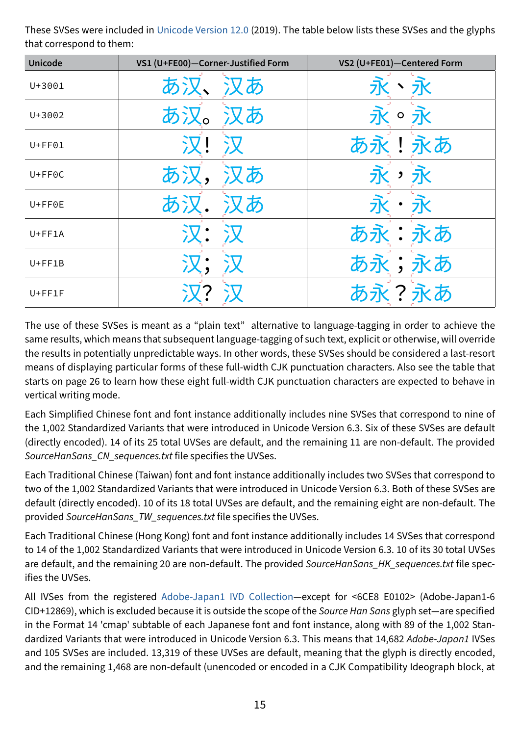These SVSes were included in [Unicode Version 12.0](https://www.unicode.org/versions/Unicode12.0.0/) (2019). The table below lists these SVSes and the glyphs that correspond to them:

| <b>Unicode</b> | VS1 (U+FE00)-Corner-Justified Form | VS2 (U+FE01)-Centered Form    |
|----------------|------------------------------------|-------------------------------|
| U+3001         | あ<br>あ                             | 永、永                           |
| $U + 3002$     | あ<br>あ                             | $\circ$                       |
| $U + F F 01$   |                                    | あ永!永あ                         |
| $U + F F O C$  | あ<br>あ)                            | 永<br>$\overline{\phantom{a}}$ |
| $U + F F 0 E$  | あ                                  |                               |
| $U + FF1A$     |                                    | あ永:永あ                         |
| $U + FF1B$     |                                    | あ永;永あ                         |
| $U + FF1F$     |                                    | く?永あ                          |

The use of these SVSes is meant as a "plain text" alternative to language-tagging in order to achieve the same results, which means that subsequent language-tagging of such text, explicit or otherwise, will override the results in potentially unpredictable ways. In other words, these SVSes should be considered a last-resort means of displaying particular forms of these full-width CJK punctuation characters. Also see the table that starts on [page 26](#page-25-0) to learn how these eight full-width CJK punctuation characters are expected to behave in vertical writing mode.

Each Simplified Chinese font and font instance additionally includes nine SVSes that correspond to nine of the 1,002 Standardized Variants that were introduced in Unicode Version 6.3. Six of these SVSes are default (directly encoded). 14 of its 25 total UVSes are default, and the remaining 11 are non-default. The provided *SourceHanSans\_CN\_sequences.txt* file specifies the UVSes.

Each Traditional Chinese (Taiwan) font and font instance additionally includes two SVSes that correspond to two of the 1,002 Standardized Variants that were introduced in Unicode Version 6.3. Both of these SVSes are default (directly encoded). 10 of its 18 total UVSes are default, and the remaining eight are non-default. The provided *SourceHanSans\_TW\_sequences.txt* file specifies the UVSes.

Each Traditional Chinese (Hong Kong) font and font instance additionally includes 14 SVSes that correspond to 14 of the 1,002 Standardized Variants that were introduced in Unicode Version 6.3. 10 of its 30 total UVSes are default, and the remaining 20 are non-default. The provided *SourceHanSans\_HK\_sequences.txt* file specifies the UVSes.

All IVSes from the registered [Adobe-Japan1 IVD Collection—](https://github.com/adobe-type-tools/Adobe-Japan1/)except for <6CE8 E0102> (Adobe-Japan1-6 CID+12869), which is excluded because it is outside the scope of the *Source Han Sans* glyph set—are specified in the Format 14 'cmap' subtable of each Japanese font and font instance, along with 89 of the 1,002 Standardized Variants that were introduced in Unicode Version 6.3. This means that 14,682 *Adobe-Japan1* IVSes and 105 SVSes are included. 13,319 of these UVSes are default, meaning that the glyph is directly encoded, and the remaining 1,468 are non-default (unencoded or encoded in a CJK Compatibility Ideograph block, at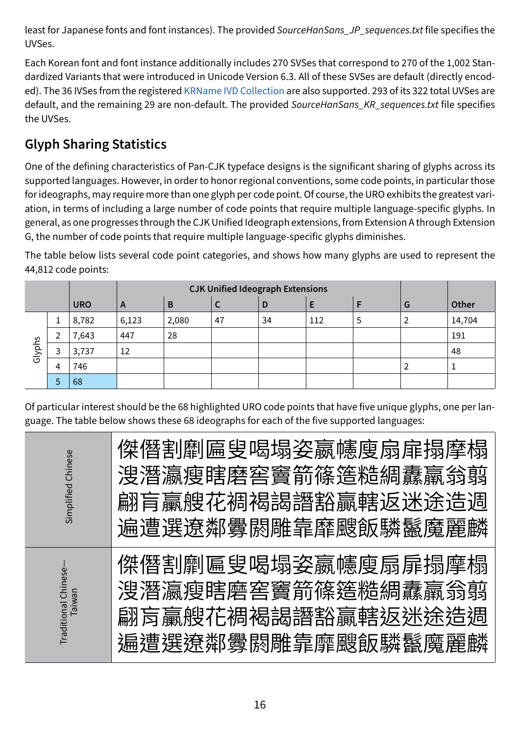least for Japanese fonts and font instances). The provided *SourceHanSans\_JP\_sequences.txt* file specifies the UVSes.

Each Korean font and font instance additionally includes 270 SVSes that correspond to 270 of the 1,002 Standardized Variants that were introduced in Unicode Version 6.3. All of these SVSes are default (directly encoded). The 36 IVSes from the registered [KRName IVD Collection](https://github.com/adobe-type-tools/krname-ivd-collection/) are also supported. 293 of its 322 total UVSes are default, and the remaining 29 are non-default. The provided *SourceHanSans\_KR\_sequences.txt* file specifies the UVSes.

#### **Glyph Sharing Statistics**

One of the defining characteristics of Pan-CJK typeface designs is the significant sharing of glyphs across its supported languages. However, in order to honor regional conventions, some code points, in particular those for ideographs, may require more than one glyph per code point. Of course, the URO exhibits the greatest variation, in terms of including a large number of code points that require multiple language-specific glyphs. In general, as one progresses through the CJK Unified Ideograph extensions, from Extension A through Extension G, the number of code points that require multiple language-specific glyphs diminishes.

The table below lists several code point categories, and shows how many glyphs are used to represent the 44,812 code points:

|        |                                                  |       |       | <b>CJK Unified Ideograph Extensions</b> |    |       |     |   |   |        |
|--------|--------------------------------------------------|-------|-------|-----------------------------------------|----|-------|-----|---|---|--------|
|        | <b>URO</b><br>Е<br>B<br>C<br>$\overline{A}$<br>D |       |       |                                         | G  | Other |     |   |   |        |
|        | 1                                                | 8,782 | 6,123 | 2,080                                   | 47 | 34    | 112 | 5 | 2 | 14,704 |
| Glyphs |                                                  | 7,643 | 447   | 28                                      |    |       |     |   |   | 191    |
|        | 3                                                | 3,737 | 12    |                                         |    |       |     |   |   | 48     |
|        | 4                                                | 746   |       |                                         |    |       |     |   | ∠ |        |
|        | 5                                                | 68    |       |                                         |    |       |     |   |   |        |

Of particular interest should be the 68 highlighted URO code points that have five unique glyphs, one per language. The table below shows these 68 ideographs for each of the five supported languages:

| Chinese<br>Simplified        | 傑僭割劘扁叟喝塌姿嬴幰廋扇扉搨摩榻<br>溲潛瀛瘦瞎磨窖竇箭篠簉糙綢纛鸁翁翦<br>翩盲贏艘花裯褐謁譖豁贏轄返洣涂诰调<br>谝遭選潦鄰釁閼雕靠靡颼飯驎鬣魔麗麟        |
|------------------------------|-----------------------------------------------------------------------------------------|
| Traditional Chinese<br>newie | 傑僭割劘匾叟喝塌姿嬴幰廋扇扉搨摩榻<br>溲潛瀛瘦瞎磨窖竇箭篠簉糙綢纛羸翁翦<br>翩肓臝艘花裯褐諹譖豁贏轄扳迷涂浩禂<br><u>斒遭撰獠鄰釁閼雕靠靡颵飯驎鬣魔麗麟</u> |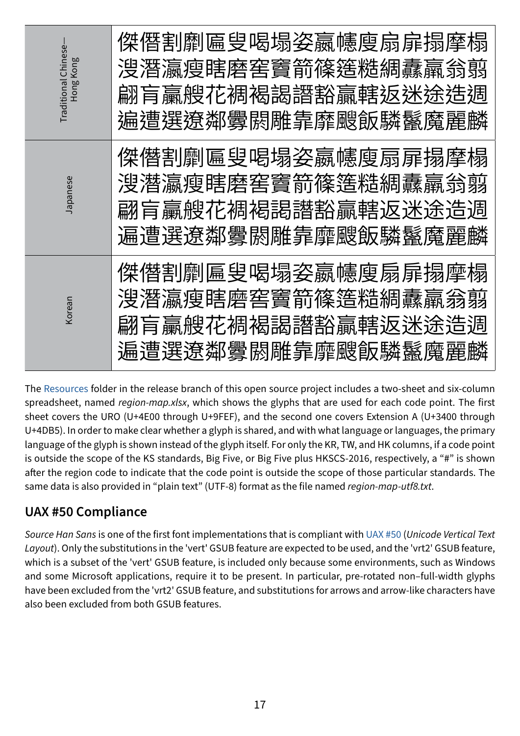| Traditional Chinese<br>Hong Kong | 傑僭割劘匾叟喝塌姿鸁幰廋扇扉搨摩榻<br>溲潛瀛瘦瞎磨窖竇箭篠簉糙綢纛羸翁翦<br>翩肓臝艘花禂褐謁譖豁贏轄返迷途造淍<br>遍遭選遼鄰釁閼雕靠靡颼飯驎鬣魔麗麟 |
|----------------------------------|----------------------------------------------------------------------------------|
| Japanese                         | 傑僭割劘匾叟喝塌姿嬴幰廋扇扉搨摩榻<br>溲濳瀛瘦瞎磨窖竇箭篠簉糙綢纛羸翁蘍<br>翩盲臝艘花裯褐謁譖豁贏轄返迷途造週<br>遍遭選遼鄰釁閼雕靠靡颼飯驎鬣魔麗麟 |
| Korean                           | 傑僭割劘匾叟喝塌姿嬴幰廋扇扉搨犘榻<br>溲潛瀛瘦瞎磨窖竇箭篠簉糙綢纛羸翁翦<br>翩盲贏艘花禂褐謁譖豁贏轄返迷途造淍<br>遍遭選遼鄰釁閼雕靠靡颼飯驎鬣魔麗麟 |

The [Resources](https://github.com/adobe-fonts/source-han-sans/tree/release/Resources/) folder in the release branch of this open source project includes a two-sheet and six-column spreadsheet, named *region-map.xlsx*, which shows the glyphs that are used for each code point. The first sheet covers the URO (U+4E00 through U+9FEF), and the second one covers Extension A (U+3400 through U+4DB5). In order to make clear whether a glyph is shared, and with what language or languages, the primary language of the glyph is shown instead of the glyph itself. For only the KR, TW, and HK columns, if a code point is outside the scope of the KS standards, Big Five, or Big Five plus HKSCS-2016, respectively, a "#" is shown after the region code to indicate that the code point is outside the scope of those particular standards. The same data is also provided in "plain text" (UTF-8) format as the file named *region-map-utf8.txt*.

#### **UAX #50 Compliance**

*Source Han Sans* is one of the first font implementations that is compliant with [UAX #50](http://www.unicode.org/reports/tr50/) (*Unicode Vertical Text Layout*). Only the substitutions in the 'vert' GSUB feature are expected to be used, and the 'vrt2' GSUB feature, which is a subset of the 'vert' GSUB feature, is included only because some environments, such as Windows and some Microsoft applications, require it to be present. In particular, pre-rotated non–full-width glyphs have been excluded from the 'vrt2' GSUB feature, and substitutions for arrows and arrow-like characters have also been excluded from both GSUB features.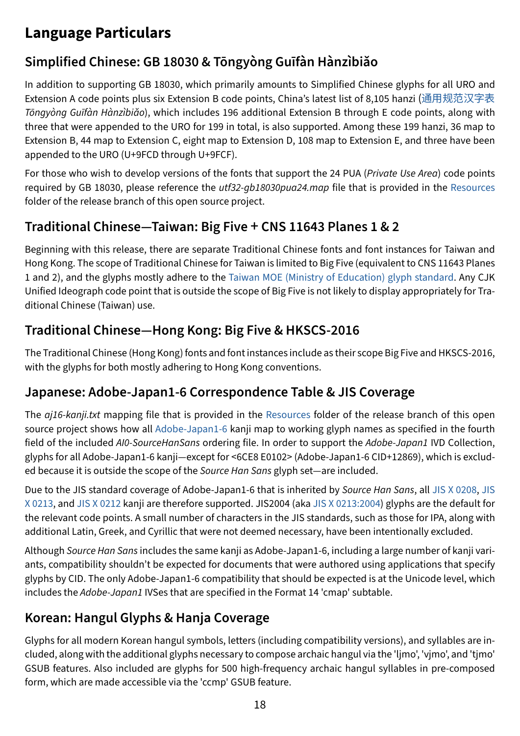# **Language Particulars**

### **Simplified Chinese: GB 18030 & Tōngyòng Guīfàn Hànzìbiǎo**

In addition to supporting GB 18030, which primarily amounts to Simplified Chinese glyphs for all URO and Extension A code points plus six Extension B code points, China's latest list of 8,105 hanzi ([通用规范汉字表](http://www.gov.cn/zwgk/2013-08/19/content_2469793.htm) *Tōngyòng Guīfàn Hànzìbiǎo*), which includes 196 additional Extension B through E code points, along with three that were appended to the URO for 199 in total, is also supported. Among these 199 hanzi, 36 map to Extension B, 44 map to Extension C, eight map to Extension D, 108 map to Extension E, and three have been appended to the URO (U+9FCD through U+9FCF).

For those who wish to develop versions of the fonts that support the 24 PUA (*Private Use Area*) code points required by GB 18030, please reference the *utf32-gb18030pua24.map* file that is provided in the [Resources](https://github.com/adobe-fonts/source-han-sans/tree/release/Resources/) folder of the release branch of this open source project.

#### **Traditional Chinese—Taiwan: Big Five** + **CNS 11643 Planes 1 & 2**

Beginning with this release, there are separate Traditional Chinese fonts and font instances for Taiwan and Hong Kong. The scope of Traditional Chinese for Taiwan is limited to Big Five (equivalent to CNS 11643 Planes 1 and 2), and the glyphs mostly adhere to the [Taiwan MOE \(Ministry of Education\) glyph standard.](http://language.moe.gov.tw/001/Upload/files/SITE_CONTENT/M0001/FANGTI/fangying.htm) Any CJK Unified Ideograph code point that is outside the scope of Big Five is not likely to display appropriately for Traditional Chinese (Taiwan) use.

#### **Traditional Chinese—Hong Kong: Big Five & HKSCS-2016**

The Traditional Chinese (Hong Kong) fonts and font instances include as their scope Big Five and HKSCS-2016, with the glyphs for both mostly adhering to Hong Kong conventions.

#### **Japanese: Adobe-Japan1-6 Correspondence Table & JIS Coverage**

The *aj16-kanji.txt* mapping file that is provided in the [Resources](https://github.com/adobe-fonts/source-han-sans/tree/release/Resources/) folder of the release branch of this open source project shows how all [Adobe-Japan1-6](https://github.com/adobe-type-tools/Adobe-Japan1/) kanji map to working glyph names as specified in the fourth field of the included *AI0-SourceHanSans* ordering file. In order to support the *Adobe-Japan1* IVD Collection, glyphs for all Adobe-Japan1-6 kanji—except for <6CE8 E0102> (Adobe-Japan1-6 CID+12869), which is excluded because it is outside the scope of the *Source Han Sans* glyph set—are included.

Due to the JIS standard coverage of Adobe-Japan1-6 that is inherited by *Source Han Sans*, all [JIS X 0208,](https://webdesk.jsa.or.jp/books/W11M0090/index/?bunsyo_id=JIS%20X%200208:1997/AMENDMENT%201:2012) [JIS](https://webdesk.jsa.or.jp/books/W11M0090/index/?bunsyo_id=JIS%20X%200213:2000/AMENDMENT%202:2012)  [X 0213,](https://webdesk.jsa.or.jp/books/W11M0090/index/?bunsyo_id=JIS%20X%200213:2000/AMENDMENT%202:2012) and [JIS X 0212](https://webdesk.jsa.or.jp/books/W11M0090/index/?bunsyo_id=JIS%20X%200212:1990) kanji are therefore supported. JIS2004 (aka [JIS X 0213:2004\)](https://webdesk.jsa.or.jp/books/W11M0090/index/?bunsyo_id=JIS%20X%200213:2000/AMENDMENT%201:2004) glyphs are the default for the relevant code points. A small number of characters in the JIS standards, such as those for IPA, along with additional Latin, Greek, and Cyrillic that were not deemed necessary, have been intentionally excluded.

Although *Source Han Sans* includes the same kanji as Adobe-Japan1-6, including a large number of kanji variants, compatibility shouldn't be expected for documents that were authored using applications that specify glyphs by CID. The only Adobe-Japan1-6 compatibility that should be expected is at the Unicode level, which includes the *Adobe-Japan1* IVSes that are specified in the Format 14 'cmap' subtable.

#### **Korean: Hangul Glyphs & Hanja Coverage**

Glyphs for all modern Korean hangul symbols, letters (including compatibility versions), and syllables are included, along with the additional glyphs necessary to compose archaic hangul via the 'ljmo', 'vjmo', and 'tjmo' GSUB features. Also included are glyphs for 500 high-frequency archaic hangul syllables in pre-composed form, which are made accessible via the 'ccmp' GSUB feature.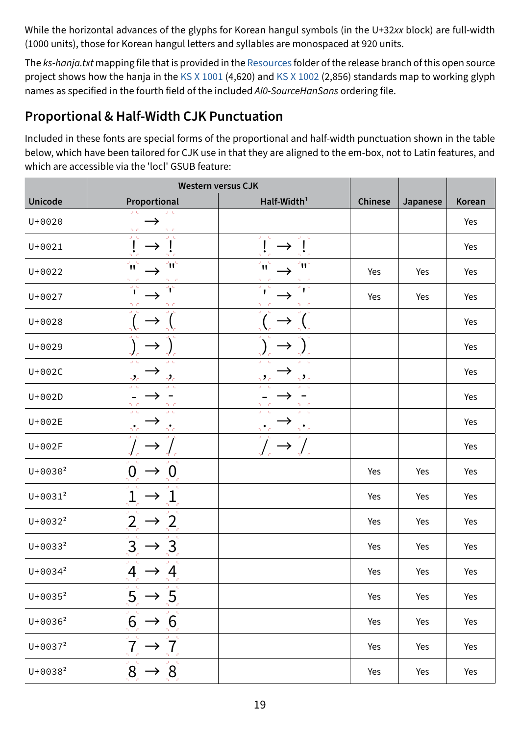While the horizontal advances of the glyphs for Korean hangul symbols (in the U+32*xx* block) are full-width (1000 units), those for Korean hangul letters and syllables are monospaced at 920 units.

The *ks-hanja.txt* mapping file that is provided in the [Resources](https://github.com/adobe-fonts/source-han-sans/tree/release/Resources/) folder of the release branch of this open source project shows how the hanja in the [KS X 1001](https://www.kssn.net/search/stddetail.do?itemNo=K001010102764) (4,620) and [KS X 1002](https://www.kssn.net/search/stddetail.do?itemNo=K001010118206) (2,856) standards map to working glyph names as specified in the fourth field of the included *AI0-SourceHanSans* ordering file.

#### <span id="page-18-0"></span>**Proportional & Half-Width CJK Punctuation**

Included in these fonts are special forms of the proportional and half-width punctuation shown in the table below, which have been tailored for CJK use in that they are aligned to the em-box, not to Latin features, and which are accessible via the 'locl' GSUB feature:

|              | <b>Western versus CJK</b>                                                                                             |                                               |         |          |        |
|--------------|-----------------------------------------------------------------------------------------------------------------------|-----------------------------------------------|---------|----------|--------|
| Unicode      | Proportional                                                                                                          | Half-Width <sup>1</sup>                       | Chinese | Japanese | Korean |
| U+0020       | $\omega$ $\approx$<br>بالان<br>D. C<br>n c                                                                            |                                               |         |          | Yes    |
| $U + 0021$   | $\omega = 0$<br>$\mathbf{J} = \mathbf{C}$                                                                             | $\omega_{\rm{c}}=0.$<br>$D_{\rm eff} = 0.1$   |         |          | Yes    |
| $U + 0022$   | $\frac{3}{2}$<br>'n                                                                                                   | $\sim$<br>'nή                                 | Yes     | Yes      | Yes    |
| U+0027       | $\overline{\mathbf{r}^{\mathbf{c}}}$<br>45                                                                            |                                               | Yes     | Yes      | Yes    |
| $U + 0028$   |                                                                                                                       |                                               |         |          | Yes    |
| U+0029       |                                                                                                                       |                                               |         |          | Yes    |
| $U+002C$     | $\mathbf{J}=\mathbf{I}_\mathrm{m}$<br>$\mathbf{J}=\mathbf{I}_\mathrm{m}$<br>-2,<br>$\boldsymbol{\beta}_{\mathcal{C}}$ | $\sim$ 2 $\sim$ 100 $\sim$<br>52 <sub>0</sub> |         |          | Yes    |
| $U+002D$     |                                                                                                                       |                                               |         |          | Yes    |
| U+002E       | $\omega \approx 0$<br>$\omega \approx 0$                                                                              |                                               |         |          | Yes    |
| $U+002F$     |                                                                                                                       | $\rightarrow$                                 |         |          | Yes    |
| $U + 0030^2$ |                                                                                                                       |                                               | Yes     | Yes      | Yes    |
| $U + 0031^2$ |                                                                                                                       |                                               | Yes     | Yes      | Yes    |
| $U + 0032^2$ | $\overline{2}$<br>$\mathcal{Q}=\mathcal{Q}$<br>$\mathbf{2}$                                                           |                                               | Yes     | Yes      | Yes    |
| $U + 0033^2$ | $\overline{3}$                                                                                                        |                                               | Yes     | Yes      | Yes    |
| $U + 0034^2$ | $D_{\rm eff} = 0.1$<br>$\mathcal{A}_{\mathcal{A}} \rightarrow$<br>$\frac{4}{\sqrt{2}}$                                |                                               | Yes     | Yes      | Yes    |
| $U + 0035^2$ | $5\frac{5}{10}$<br>5<br>$\rightarrow$                                                                                 |                                               | Yes     | Yes      | Yes    |
| $U + 0036^2$ | $\mathbf{D}=\mathbf{L}$<br>6<br>6                                                                                     |                                               | Yes     | Yes      | Yes    |
| $U + 0037^2$ | $\overline{7}$<br>$\omega_{\rm c} = 0$<br>50                                                                          |                                               | Yes     | Yes      | Yes    |
| $U + 0038^2$ | $\overline{\left[ \begin{matrix} \mathbf{S}_{i}^{T}\end{matrix}\right] }$<br>$\omega = \infty$<br>8 <sub>1</sub>      |                                               | Yes     | Yes      | Yes    |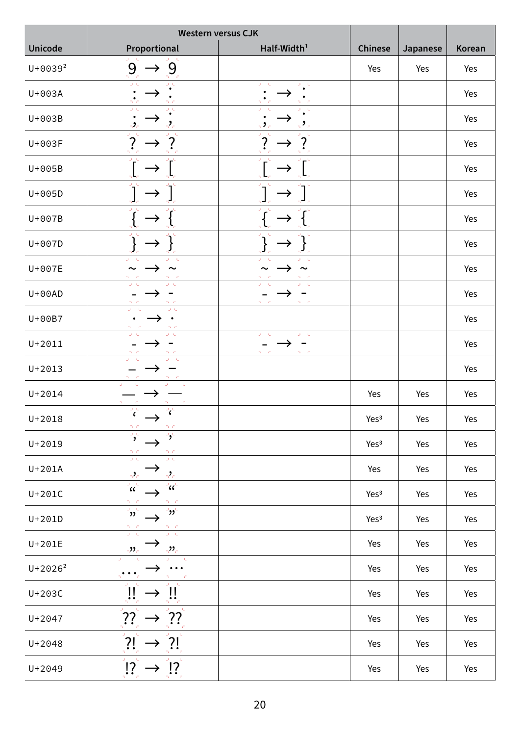|              | <b>Western versus CJK</b>                                                                                                                                   |                                                        |                  |          |        |
|--------------|-------------------------------------------------------------------------------------------------------------------------------------------------------------|--------------------------------------------------------|------------------|----------|--------|
| Unicode      | Proportional                                                                                                                                                | Half-Width <sup>1</sup>                                | <b>Chinese</b>   | Japanese | Korean |
| $U + 0039^2$ | 9 <sub>o</sub><br>9<br>$\rightarrow$                                                                                                                        |                                                        | Yes              | Yes      | Yes    |
| U+003A       |                                                                                                                                                             | U.                                                     |                  |          | Yes    |
| U+003B       | $\omega \rightarrow \omega$                                                                                                                                 |                                                        |                  |          | Yes    |
| U+003F       |                                                                                                                                                             |                                                        |                  |          | Yes    |
| U+005B       |                                                                                                                                                             |                                                        |                  |          | Yes    |
| $U+005D$     |                                                                                                                                                             |                                                        |                  |          | Yes    |
| U+007B       |                                                                                                                                                             |                                                        |                  |          | Yes    |
| $U+007D$     |                                                                                                                                                             |                                                        |                  |          | Yes    |
| U+007E       | $\sim$                                                                                                                                                      |                                                        |                  |          | Yes    |
| $U+00AD$     |                                                                                                                                                             |                                                        |                  |          | Yes    |
| U+00B7       | $\frac{2\pi}{\omega}$ . $\frac{1}{\omega}$<br>$\omega \sim \omega$<br>0. C                                                                                  |                                                        |                  |          | Yes    |
| $U + 2011$   | $\omega \sim 0.1$                                                                                                                                           | $\omega = 0$<br>$D_{\rm eff} = 0.1$<br>Turkiy<br>D. C. |                  |          | Yes    |
| $U + 2013$   | $\omega = \infty$                                                                                                                                           |                                                        |                  |          | Yes    |
| $U + 2014$   |                                                                                                                                                             |                                                        | Yes              | Yes      | Yes    |
| $U + 2018$   | $\omega = \epsilon_{\omega}$<br>$\epsilon$<br>70.00<br>70 C                                                                                                 |                                                        | Yes <sup>3</sup> | Yes      | Yes    |
| $U + 2019$   | $\overline{\mathbf{z}}$<br>$\mathbf{P}_{\mathbf{y}}$<br>0. C<br>0. C                                                                                        |                                                        | Yes <sup>3</sup> | Yes      | Yes    |
| $U+201A$     | $\omega$ $\in$<br>$\omega$ $\approx$<br>$\mathcal{P}_{\mathcal{C}}$<br>$\mathcal{D}_{\mathcal{C}}$                                                          |                                                        | Yes              | Yes      | Yes    |
| $U+201C$     | $\alpha^2$<br>$\alpha^{\rm c}$                                                                                                                              |                                                        | Yes <sup>3</sup> | Yes      | Yes    |
| $U+201D$     | $\overline{\mathbf{e}}$<br>$\overline{\mathbf{e}^{\mathbf{e}}$ נל<br>$\frac{\gamma-\sigma}{\omega-\sigma}$<br>$\frac{\gamma_1-\gamma_1}{\gamma_1-\gamma_1}$ |                                                        | Yes <sup>3</sup> | Yes      | Yes    |
| $U+201E$     | $\frac{1}{2}$<br>$\mathcal{D}_{\mathcal{C}}$                                                                                                                |                                                        | Yes              | Yes      | Yes    |
| $U + 2026^2$ |                                                                                                                                                             |                                                        | Yes              | Yes      | Yes    |
| $U+203C$     |                                                                                                                                                             |                                                        | Yes              | Yes      | Yes    |
| U+2047       | ??                                                                                                                                                          |                                                        | Yes              | Yes      | Yes    |
| $U + 2048$   | $\frac{1}{2}$                                                                                                                                               |                                                        | Yes              | Yes      | Yes    |
| U+2049       | $\Delta \Omega$<br>U.<br>$\mathbf{?}$                                                                                                                       |                                                        | Yes              | Yes      | Yes    |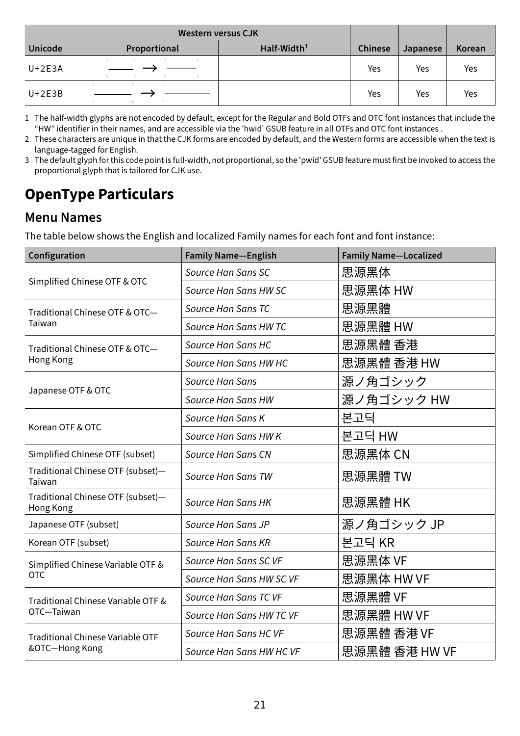|                | <b>Western versus CJK</b> |                         |                |                 |        |
|----------------|---------------------------|-------------------------|----------------|-----------------|--------|
| <b>Unicode</b> | Proportional              | Half-Width <sup>1</sup> | <b>Chinese</b> | <b>Japanese</b> | Korean |
| $U+2E3A$       | A.                        |                         | Yes            | Yes             | Yes    |
| $U+2E3B$       | $\overline{\phantom{a}}$  |                         | Yes            | Yes             | Yes    |

- 1 The half-width glyphs are not encoded by default, except for the Regular and Bold OTFs and OTC font instances that include the "HW" identifier in their names, and are accessible via the 'hwid' GSUB feature in all OTFs and OTC font instances .
- 2 These characters are unique in that the CJK forms are encoded by default, and the Western forms are accessible when the text is language-tagged for English.
- 3 The default glyph for this code point is full-width, not proportional, so the 'pwid' GSUB feature must first be invoked to access the proportional glyph that is tailored for CJK use.

# **OpenType Particulars**

#### **Menu Names**

The table below shows the English and localized Family names for each font and font instance:

| Configuration                                  | <b>Family Name-English</b> | <b>Family Name-Localized</b> |  |
|------------------------------------------------|----------------------------|------------------------------|--|
|                                                | Source Han Sans SC         | 思源黑体                         |  |
| Simplified Chinese OTF & OTC                   | Source Han Sans HW SC      | 思源黑体 HW                      |  |
| Traditional Chinese OTF & OTC-                 | Source Han Sans TC         | 思源黑體                         |  |
| Taiwan                                         | Source Han Sans HW TC      | 思源黑體 HW                      |  |
| Traditional Chinese OTF & OTC-                 | Source Han Sans HC         | 思源黑體 香港                      |  |
| Hong Kong                                      | Source Han Sans HW HC      | 思源黑體 香港 HW                   |  |
|                                                | Source Han Sans            | 源ノ角ゴシック                      |  |
| Japanese OTF & OTC                             | Source Han Sans HW         | 源ノ角ゴシック HW                   |  |
|                                                | Source Han Sans K          | 본고딕                          |  |
| Korean OTF & OTC                               | Source Han Sans HW K       | 본고딕 HW                       |  |
| Simplified Chinese OTF (subset)                | Source Han Sans CN         | 思源黑体 CN                      |  |
| Traditional Chinese OTF (subset)-<br>Taiwan    | Source Han Sans TW         | 思源黑體 TW                      |  |
| Traditional Chinese OTF (subset)-<br>Hong Kong | Source Han Sans HK         | 思源黑體 HK                      |  |
| Japanese OTF (subset)                          | Source Han Sans JP         | 源ノ角ゴシック JP                   |  |
| Korean OTF (subset)                            | Source Han Sans KR         | 본고딕 KR                       |  |
| Simplified Chinese Variable OTF &              | Source Han Sans SC VF      | 思源黑体 VF                      |  |
| <b>OTC</b>                                     | Source Han Sans HW SC VF   | 思源黑体 HW VF                   |  |
| Traditional Chinese Variable OTF &             | Source Han Sans TC VF      | 思源黑體 VF                      |  |
| OTC-Taiwan                                     | Source Han Sans HW TC VF   | 思源黑體 HW VF                   |  |
| <b>Traditional Chinese Variable OTF</b>        | Source Han Sans HC VF      | 思源黑體 香港 VF                   |  |
| &OTC-Hong Kong                                 | Source Han Sans HW HC VF   | 思源黑體 香港 HW VF                |  |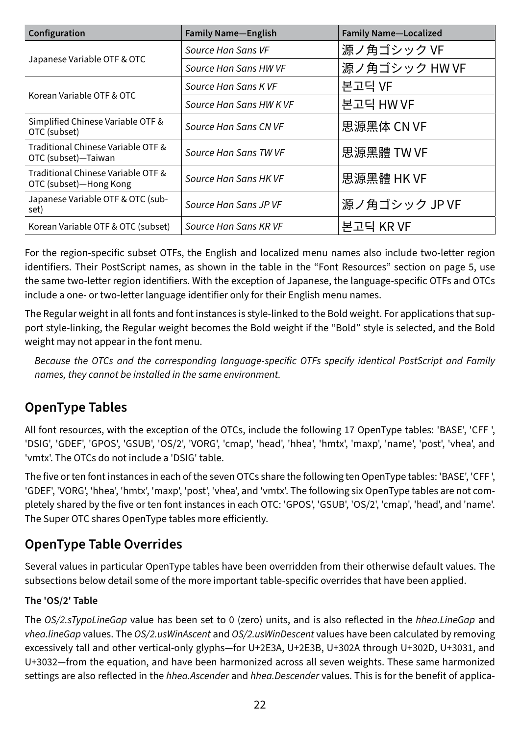| Configuration                                                | <b>Family Name-English</b> | <b>Family Name-Localized</b> |
|--------------------------------------------------------------|----------------------------|------------------------------|
|                                                              | Source Han Sans VF         | 源ノ角ゴシックVF                    |
| Japanese Variable OTF & OTC                                  | Source Han Sans HW VF      | 源ノ角ゴシック HW VF                |
| Korean Variable OTF & OTC                                    | Source Han Sans KVF        | 본고딕 VF                       |
|                                                              | Source Han Sans HW K VF    | 본고딕 HW VF                    |
| Simplified Chinese Variable OTF &<br>OTC (subset)            | Source Han Sans CN VF      | 思源黑体 CN VF                   |
| Traditional Chinese Variable OTF &<br>OTC (subset)-Taiwan    | Source Han Sans TW VF      | 思源黑體 TW VF                   |
| Traditional Chinese Variable OTF &<br>OTC (subset)-Hong Kong | Source Han Sans HK VF      | 思源黑體 HK VF                   |
| Japanese Variable OTF & OTC (sub-<br>set)                    | Source Han Sans JP VF      | 源ノ角ゴシック JP VF                |
| Korean Variable OTF & OTC (subset)                           | Source Han Sans KR VF      | 본고딕 KR VF                    |

For the region-specific subset OTFs, the English and localized menu names also include two-letter region identifiers. Their PostScript names, as shown in the table in the ["Font Resources" section on page 5,](#page-4-0) use the same two-letter region identifiers. With the exception of Japanese, the language-specific OTFs and OTCs include a one- or two-letter language identifier only for their English menu names.

The Regular weight in all fonts and font instances is style-linked to the Bold weight. For applications that support style-linking, the Regular weight becomes the Bold weight if the "Bold" style is selected, and the Bold weight may not appear in the font menu.

*Because the OTCs and the corresponding language-specific OTFs specify identical PostScript and Family names, they cannot be installed in the same environment.* 

### **OpenType Tables**

All font resources, with the exception of the OTCs, include the following 17 OpenType tables: 'BASE', 'CFF ', 'DSIG', 'GDEF', 'GPOS', 'GSUB', 'OS/2', 'VORG', 'cmap', 'head', 'hhea', 'hmtx', 'maxp', 'name', 'post', 'vhea', and 'vmtx'. The OTCs do not include a 'DSIG' table.

The five or ten font instances in each of the seven OTCs share the following ten OpenType tables: 'BASE', 'CFF ', 'GDEF', 'VORG', 'hhea', 'hmtx', 'maxp', 'post', 'vhea', and 'vmtx'. The following six OpenType tables are not completely shared by the five or ten font instances in each OTC: 'GPOS', 'GSUB', 'OS/2', 'cmap', 'head', and 'name'. The Super OTC shares OpenType tables more efficiently.

#### **OpenType Table Overrides**

Several values in particular OpenType tables have been overridden from their otherwise default values. The subsections below detail some of the more important table-specific overrides that have been applied.

#### **The 'OS/2' Table**

The *OS/2.sTypoLineGap* value has been set to 0 (zero) units, and is also reflected in the *hhea.LineGap* and *vhea.lineGap* values. The *OS/2.usWinAscent* and *OS/2.usWinDescent* values have been calculated by removing excessively tall and other vertical-only glyphs—for U+2E3A, U+2E3B, U+302A through U+302D, U+3031, and U+3032—from the equation, and have been harmonized across all seven weights. These same harmonized settings are also reflected in the *hhea.Ascender* and *hhea.Descender* values. This is for the benefit of applica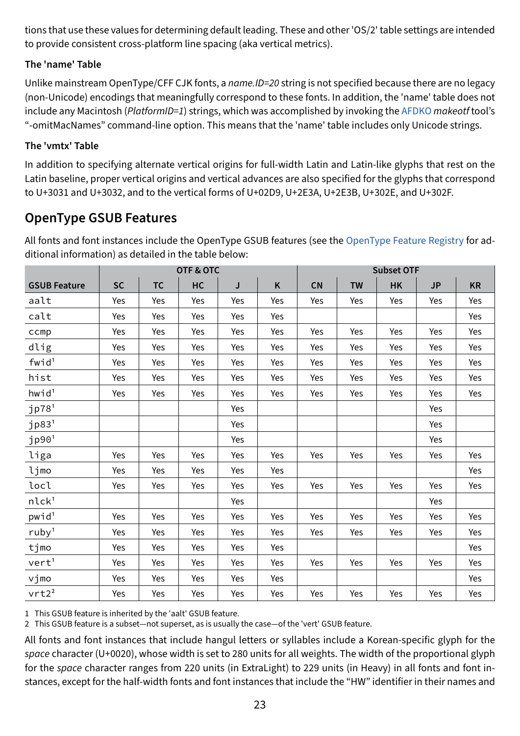tions that use these values for determining default leading. These and other 'OS/2' table settings are intended to provide consistent cross-platform line spacing (aka vertical metrics).

#### **The 'name' Table**

Unlike mainstream OpenType/CFF CJK fonts, a *name.ID=20* string is not specified because there are no legacy (non-Unicode) encodings that meaningfully correspond to these fonts. In addition, the 'name' table does not include any Macintosh (*PlatformID=1*) strings, which was accomplished by invoking the [AFDKO](https://github.com/adobe-type-tools/afdko/) *makeotf* tool's "-omitMacNames" command-line option. This means that the 'name' table includes only Unicode strings.

#### **The 'vmtx' Table**

In addition to specifying alternate vertical origins for full-width Latin and Latin-like glyphs that rest on the Latin baseline, proper vertical origins and vertical advances are also specified for the glyphs that correspond to U+3031 and U+3032, and to the vertical forms of U+02D9, U+2E3A, U+2E3B, U+302E, and U+302F.

#### **OpenType GSUB Features**

All fonts and font instances include the OpenType GSUB features (see the [OpenType Feature Registry](https://docs.microsoft.com/en-us/typography/opentype/spec/featurelist) for additional information) as detailed in the table below:

|                     |           |           | <b>OTF &amp; OTC</b> |     |     |     |           | <b>Subset OTF</b> |           |           |
|---------------------|-----------|-----------|----------------------|-----|-----|-----|-----------|-------------------|-----------|-----------|
| <b>GSUB Feature</b> | <b>SC</b> | <b>TC</b> | HC                   | J   | K   | CN  | <b>TW</b> | <b>HK</b>         | <b>JP</b> | <b>KR</b> |
| aalt                | Yes       | Yes       | Yes                  | Yes | Yes | Yes | Yes       | Yes               | Yes       | Yes       |
| calt                | Yes       | Yes       | Yes                  | Yes | Yes |     |           |                   |           | Yes       |
| ccmp                | Yes       | Yes       | Yes                  | Yes | Yes | Yes | Yes       | Yes               | Yes       | Yes       |
| dlig                | Yes       | Yes       | Yes                  | Yes | Yes | Yes | Yes       | Yes               | Yes       | Yes       |
| $fwid^1$            | Yes       | Yes       | Yes                  | Yes | Yes | Yes | Yes       | Yes               | Yes       | Yes       |
| hist                | Yes       | Yes       | Yes                  | Yes | Yes | Yes | Yes       | Yes               | Yes       | Yes       |
| hwid <sup>1</sup>   | Yes       | Yes       | Yes                  | Yes | Yes | Yes | Yes       | Yes               | Yes       | Yes       |
| jp78 <sup>1</sup>   |           |           |                      | Yes |     |     |           |                   | Yes       |           |
| $jp83$ <sup>1</sup> |           |           |                      | Yes |     |     |           |                   | Yes       |           |
| $j$ p90 $^{1}$      |           |           |                      | Yes |     |     |           |                   | Yes       |           |
| liga                | Yes       | Yes       | Yes                  | Yes | Yes | Yes | Yes       | Yes               | Yes       | Yes       |
| ljmo                | Yes       | Yes       | Yes                  | Yes | Yes |     |           |                   |           | Yes       |
| locl                | Yes       | Yes       | Yes                  | Yes | Yes | Yes | Yes       | Yes               | Yes       | Yes       |
| nlck <sup>1</sup>   |           |           |                      | Yes |     |     |           |                   | Yes       |           |
| pwid <sup>1</sup>   | Yes       | Yes       | Yes                  | Yes | Yes | Yes | Yes       | Yes               | Yes       | Yes       |
| ruby <sup>1</sup>   | Yes       | Yes       | Yes                  | Yes | Yes | Yes | Yes       | Yes               | Yes       | Yes       |
| tjmo                | Yes       | Yes       | Yes                  | Yes | Yes |     |           |                   |           | Yes       |
| vert <sup>1</sup>   | Yes       | Yes       | Yes                  | Yes | Yes | Yes | Yes       | Yes               | Yes       | Yes       |
| vjmo                | Yes       | Yes       | Yes                  | Yes | Yes |     |           |                   |           | Yes       |
| vrt2 <sup>2</sup>   | Yes       | Yes       | Yes                  | Yes | Yes | Yes | Yes       | Yes               | Yes       | Yes       |

1 This GSUB feature is inherited by the 'aalt' GSUB feature.

2 This GSUB feature is a subset—not superset, as is usually the case—of the 'vert' GSUB feature.

All fonts and font instances that include hangul letters or syllables include a Korean-specific glyph for the *space* character (U+0020), whose width is set to 280 units for all weights. The width of the proportional glyph for the *space* character ranges from 220 units (in ExtraLight) to 229 units (in Heavy) in all fonts and font instances, except for the half-width fonts and font instances that include the "HW" identifier in their names and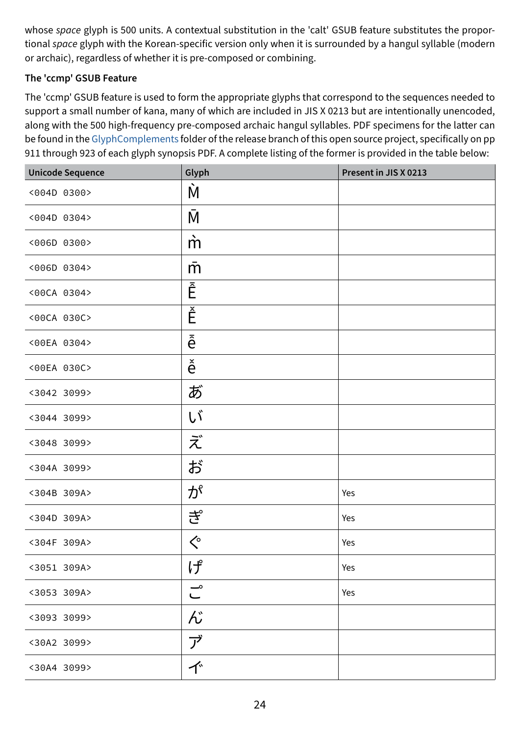whose *space* glyph is 500 units. A contextual substitution in the 'calt' GSUB feature substitutes the proportional *space* glyph with the Korean-specific version only when it is surrounded by a hangul syllable (modern or archaic), regardless of whether it is pre-composed or combining.

#### **The 'ccmp' GSUB Feature**

The 'ccmp' GSUB feature is used to form the appropriate glyphs that correspond to the sequences needed to support a small number of kana, many of which are included in JIS X 0213 but are intentionally unencoded, along with the 500 high-frequency pre-composed archaic hangul syllables. PDF specimens for the latter can be found in the [GlyphComplements](https://github.com/adobe-fonts/source-han-sans/tree/release/GlyphComplements) folder of the release branch of this open source project, specifically on pp 911 through 923 of each glyph synopsis PDF. A complete listing of the former is provided in the table below:

| <b>Unicode Sequence</b> | Glyph                              | Present in JIS X 0213 |
|-------------------------|------------------------------------|-----------------------|
| <004D 0300>             | Ń                                  |                       |
| <004D 0304>             | МĪ                                 |                       |
| <006D 0300>             | $\dot{m}$                          |                       |
| <006D 0304>             | m                                  |                       |
| <00CA 0304>             | Ē                                  |                       |
| <00CA 030C>             | Ě                                  |                       |
| <00EA 0304>             | ê                                  |                       |
| <00EA 030C>             | $\check{\hat{e}}$                  |                       |
| <3042 3099>             | あ                                  |                       |
| <3044 3099>             | UÏ                                 |                       |
| <3048 3099>             | ズ                                  |                       |
| <304A 3099>             | ぢ                                  |                       |
| <304B 309A>             | が                                  | Yes                   |
| <304D 309A>             | ぎ                                  | Yes                   |
| <304F 309A>             | $\textcolor{red}{\bigwedge^\circ}$ | Yes                   |
| <3051 309A>             | げ                                  | Yes                   |
| <3053 309A>             | $\overset{\circ}{\subset}$         | Yes                   |
| <3093 3099>             | ん                                  |                       |
| <30A2 3099>             | ブ                                  |                       |
| <30A4 3099>             | 个                                  |                       |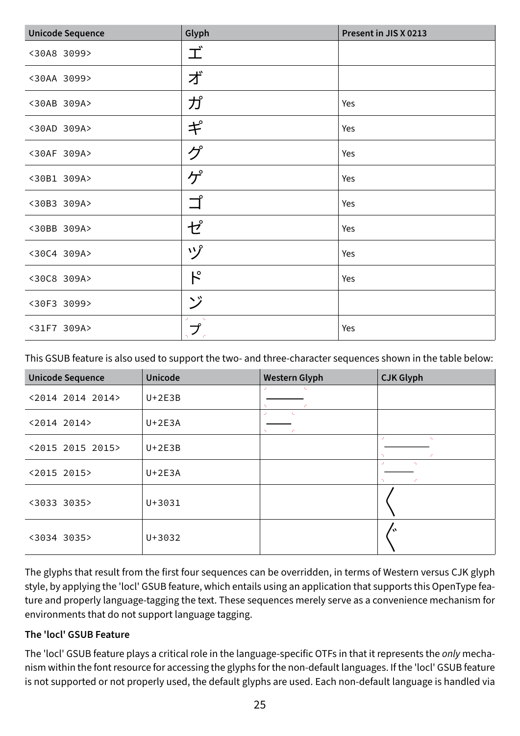| <b>Unicode Sequence</b> | Glyph                     | Present in JIS X 0213 |
|-------------------------|---------------------------|-----------------------|
| <30A8 3099>             | 工                         |                       |
| <30AA 3099>             | ず                         |                       |
| <30AB 309A>             | ガ                         | Yes                   |
| <30AD 309A>             | $\bm{\ddagger}$           | Yes                   |
| <30AF 309A>             | グ                         | Yes                   |
| <30B1 309A>             | ゲ                         | Yes                   |
| <30B3 309A>             | ゴ                         | Yes                   |
| <30BB 309A>             | ゼ                         | Yes                   |
| <30C4 309A>             | ヅ                         | Yes                   |
| <30C8 309A>             | $\mathcal{F}^{\circ}$     | Yes                   |
| <30F3 3099>             | ジ                         |                       |
| <31F7 309A>             | U.<br>プ<br>$\tau_{\rm L}$ | Yes                   |

This GSUB feature is also used to support the two- and three-character sequences shown in the table below:

| <b>Unicode Sequence</b> | <b>Unicode</b> | <b>Western Glyph</b>                                   | <b>CJK Glyph</b>                     |
|-------------------------|----------------|--------------------------------------------------------|--------------------------------------|
| <2014 2014 2014>        | $U+2E3B$       | U.<br>л.<br>n.<br>T.                                   |                                      |
| <2014 2014>             | $U+2E3A$       | $\mathbf{L}_\mathrm{c}$<br>$\Delta \Gamma$<br>n.<br>T. |                                      |
| <2015 2015 2015>        | $U+2E3B$       |                                                        | U.<br>$\mathbf{r}_\mathrm{in}$<br>r. |
| <2015 2015>             | $U+2E3A$       |                                                        | <b>ALC</b><br>u.<br>C.               |
| <3033 3035>             | $U + 3031$     |                                                        |                                      |
| <3034 3035>             | $U + 3032$     |                                                        |                                      |

The glyphs that result from the first four sequences can be overridden, in terms of Western versus CJK glyph style, by applying the 'locl' GSUB feature, which entails using an application that supports this OpenType feature and properly language-tagging the text. These sequences merely serve as a convenience mechanism for environments that do not support language tagging.

#### **The 'locl' GSUB Feature**

The 'locl' GSUB feature plays a critical role in the language-specific OTFs in that it represents the *only* mechanism within the font resource for accessing the glyphs for the non-default languages. If the 'locl' GSUB feature is not supported or not properly used, the default glyphs are used. Each non-default language is handled via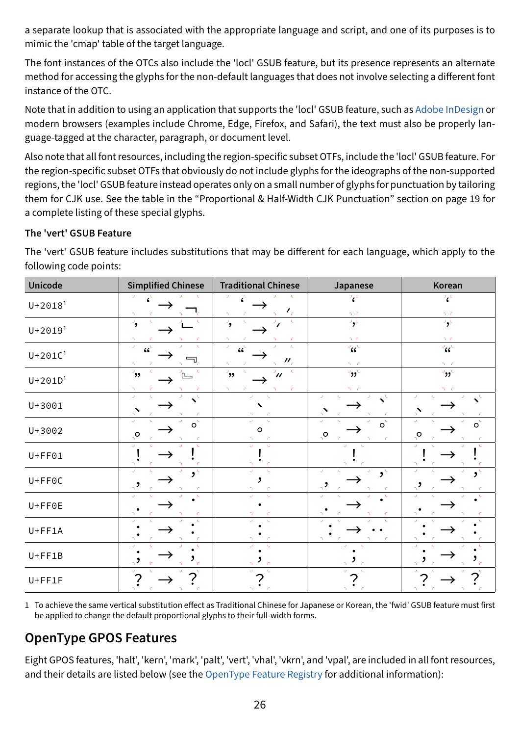a separate lookup that is associated with the appropriate language and script, and one of its purposes is to mimic the 'cmap' table of the target language.

The font instances of the OTCs also include the 'locl' GSUB feature, but its presence represents an alternate method for accessing the glyphs for the non-default languages that does not involve selecting a different font instance of the OTC.

Note that in addition to using an application that supports the 'locl' GSUB feature, such as [Adobe InDesign](http://www.adobe.com/products/indesign.html) or modern browsers (examples include Chrome, Edge, Firefox, and Safari), the text must also be properly language-tagged at the character, paragraph, or document level.

Also note that all font resources, including the region-specific subset OTFs, include the 'locl' GSUB feature. For the region-specific subset OTFs that obviously do not include glyphs for the ideographs of the non-supported regions, the 'locl' GSUB feature instead operates only on a small number of glyphs for punctuation by tailoring them for CJK use. See the table in the ["Proportional & Half-Width CJK Punctuation" section on page 19](#page-18-0) for a complete listing of these special glyphs.

#### <span id="page-25-0"></span>**The 'vert' GSUB Feature**

| <b>Unicode</b>          | <b>Simplified Chinese</b>                  | <b>Traditional Chinese</b>                                                  | Japanese                                                            | Korean                                                       |
|-------------------------|--------------------------------------------|-----------------------------------------------------------------------------|---------------------------------------------------------------------|--------------------------------------------------------------|
| $U + 2018$ <sup>1</sup> |                                            | $\mathcal{F}_{\rho}$                                                        | $\mathcal{C}$<br>D. C                                               | $\mathbf{C}^{\perp}$<br>D. C.                                |
| $U + 2019'$             | $\rightarrow$                              | $\mathbf{q}_i$<br>$\overline{\phantom{a}}$<br>£,                            | $\overline{\mathbf{S}^{\mathbf{C}}}$<br>70 C                        | $\overline{\mathbf{S}}$<br>$\mathcal{D} \subset \mathcal{C}$ |
| $U + 201C1$             | U.<br>$cc^{\dagger}$                       | $\omega$<br>k.<br>$cc^{\prime}$<br>$\prime\prime_{\rm c}$<br>m.             | $\alpha^2$<br>$\mathcal{D}^{\text{c}}\subset\mathcal{D}^{\text{c}}$ | $\mathcal{C}^{\mathbb{Z}}$<br>$\mathcal{D}=\mathcal{D}$      |
| $U + 201D1$             | رو'<br>Tu.<br>C.                           | $\mathbf{t}_\mathrm{m}$<br>$\rightarrow$<br>$\mathscr{U}$<br>70<br>Æ.<br>÷. | $\mathbf{e}$<br>n in                                                | $\mathbf{e}_{\mathbf{M}}$<br>51 C                            |
| U+3001                  | $\mathcal{A}_\mathrm{m}$<br>Ü,<br>T.<br>T. | $\Delta \Gamma$<br>х.                                                       | $\omega$<br>$\Delta t$<br>$\mathbf{t}_\mathrm{m}$<br>T.<br>T.       | $\omega$<br>U.<br>$\mathbf{I}_\mathbf{a}$<br>$\Lambda$       |
| U+3002                  | $\overline{o}$<br>U.<br>್ರಂ                | $\circ$                                                                     | $\overline{o}$<br>U.<br>$\mathbf{r}$<br>$Q_{\mu}$<br>C.<br>n,       | $\overline{o}$<br>U.<br>÷,<br>್ರಂ                            |
| $U + FF01$              | t.                                         | Ù.                                                                          | U.<br>k.                                                            | $\Delta \Gamma$<br>U.                                        |
| $U + F F O C$           | $\mathbf{3}^{\mathsf{L}}$                  | Ü,<br>$\mathbf{L}$                                                          | U.<br>Ü,<br>$\overline{\mathbf{S}^{\mathbf{C}}}$                    | U.                                                           |
| $U + F F 0 E$           |                                            | $\mathbf{t}_\perp$                                                          | n.<br>х.                                                            | n.                                                           |
| $U + FF1A$              |                                            |                                                                             | $\mathbf{r}$ .                                                      |                                                              |
| $U + FF1B$              |                                            |                                                                             |                                                                     |                                                              |
| $U + FF1F$              |                                            |                                                                             |                                                                     |                                                              |

The 'vert' GSUB feature includes substitutions that may be different for each language, which apply to the following code points:

1 To achieve the same vertical substitution effect as Traditional Chinese for Japanese or Korean, the 'fwid' GSUB feature must first be applied to change the default proportional glyphs to their full-width forms.

#### **OpenType GPOS Features**

Eight GPOS features, 'halt', 'kern', 'mark', 'palt', 'vert', 'vhal', 'vkrn', and 'vpal', are included in all font resources, and their details are listed below (see the [OpenType Feature Registry](https://docs.microsoft.com/en-us/typography/opentype/spec/featurelist) for additional information):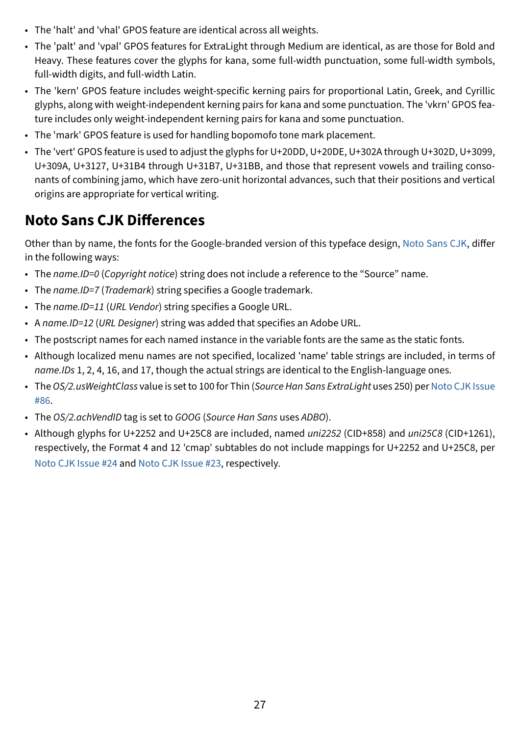- The 'halt' and 'vhal' GPOS feature are identical across all weights.
- The 'palt' and 'vpal' GPOS features for ExtraLight through Medium are identical, as are those for Bold and Heavy. These features cover the glyphs for kana, some full-width punctuation, some full-width symbols, full-width digits, and full-width Latin.
- The 'kern' GPOS feature includes weight-specific kerning pairs for proportional Latin, Greek, and Cyrillic glyphs, along with weight-independent kerning pairs for kana and some punctuation. The 'vkrn' GPOS feature includes only weight-independent kerning pairs for kana and some punctuation.
- The 'mark' GPOS feature is used for handling bopomofo tone mark placement.
- The 'vert' GPOS feature is used to adjust the glyphs for U+20DD, U+20DE, U+302A through U+302D, U+3099, U+309A, U+3127, U+31B4 through U+31B7, U+31BB, and those that represent vowels and trailing consonants of combining jamo, which have zero-unit horizontal advances, such that their positions and vertical origins are appropriate for vertical writing.

# **Noto Sans CJK Differences**

Other than by name, the fonts for the Google-branded version of this typeface design, [Noto Sans CJK,](https://github.com/googlefonts/noto-cjk/releases) differ in the following ways:

- The *name.ID=0* (*Copyright notice*) string does not include a reference to the "Source" name.
- The *name.ID=7* (*Trademark*) string specifies a Google trademark.
- The *name.ID=11* (*URL Vendor*) string specifies a Google URL.
- A *name.ID=12* (*URL Designer*) string was added that specifies an Adobe URL.
- The postscript names for each named instance in the variable fonts are the same as the static fonts.
- Although localized menu names are not specified, localized 'name' table strings are included, in terms of *name.IDs* 1, 2, 4, 16, and 17, though the actual strings are identical to the English-language ones.
- The *OS/2.usWeightClass* value is set to 100 for Thin (*Source Han Sans ExtraLight* uses 250) per [Noto CJK Issue](https://github.com/googlefonts/noto-cjk/issues/86/) [#86.](https://github.com/googlefonts/noto-cjk/issues/86/)
- The *OS/2.achVendID* tag is set to *GOOG* (*Source Han Sans* uses *ADBO*).
- Although glyphs for U+2252 and U+25C8 are included, named *uni2252* (CID+858) and *uni25C8* (CID+1261), respectively, the Format 4 and 12 'cmap' subtables do not include mappings for U+2252 and U+25C8, per [Noto CJK Issue #24](https://github.com/googlefonts/noto-cjk/issues/24) and [Noto CJK Issue #23](https://github.com/googlefonts/noto-cjk/issues/23), respectively.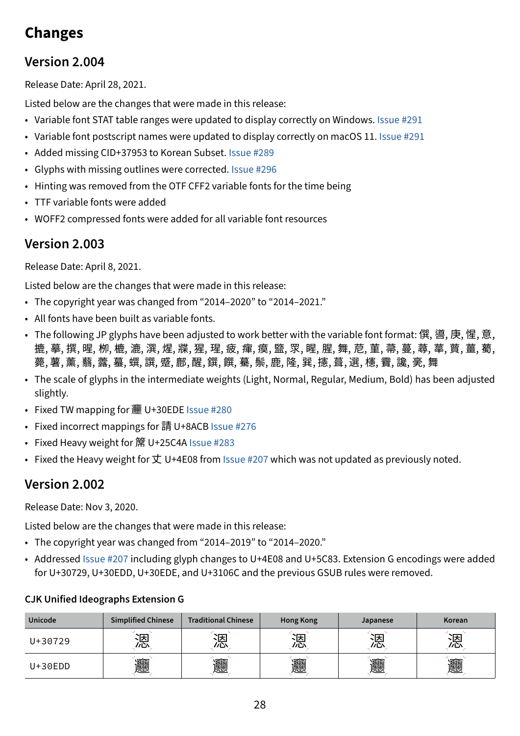# **Changes**

#### **Version 2.004**

Release Date: April 28, 2021.

Listed below are the changes that were made in this release:

- Variable font STAT table ranges were updated to display correctly on Windows. [Issue #291](https://github.com/adobe-fonts/source-han-sans/issues/291)
- Variable font postscript names were updated to display correctly on macOS 11. [Issue #29](https://github.com/adobe-fonts/source-han-sans/issues/291)1
- Added missing CID+37953 to Korean Subset. [Issue #2](https://github.com/adobe-fonts/source-han-sans/issues/289)89
- Glyphs with missing outlines were corrected. [Issue #296](https://github.com/adobe-fonts/source-han-sans/issues/296)
- Hinting was removed from the OTF CFF2 variable fonts for the time being
- TTF variable fonts were added
- WOFF2 compressed fonts were added for all variable font resources

#### **Version 2.003**

Release Date: April 8, 2021.

Listed below are the changes that were made in this release:

- The copyright year was changed from "2014–2020" to "2014–2021."
- All fonts have been built as variable fonts.
- The following JP glyphs have been adjusted to work better with the variable font format: 僎, 噵, 庚, 惺, 意, 摭, 摹, 撰, 暒, 栁, 樚, 漉, 潠, 煋, 牃, 猩, 瑆, 疲, 瘒, 瘼, 盬, 眔, 腥, 腥, 舞, 苨, 菫, 菷, 蔓, 蕁, 蕐, 蕒, 薑, 薥, 薨, 薯, 薰, 蘙, 虂, 蟇, 蟤, 譔, 蹙, 鄜, 醒, 鐉, 饌, 驀, 鬃, 鹿, 隆, 巽, 攇, 葺, 選, 櫶, 靌, 讒, 亴, 舞
- The scale of glyphs in the intermediate weights (Light, Normal, Regular, Medium, Bold) has been adjusted slightly.
- Fixed TW mapping for  $\frac{1}{200}$  U+30EDE [Issue #280](https://github.com/adobe-fonts/source-han-sans/issues/280)
- Fixed incorrect mappings for 請 U+8ACB [Issue #2](https://github.com/adobe-fonts/source-han-sans/issues/276)76
- Fixed Heavy weight for # U+25C4A [Issue #283](https://github.com/adobe-fonts/source-han-sans/issues/283)
- Fixed the Heavy weight for  $\pm$  U+4E08 from [Issue #2](https://github.com/adobe-fonts/source-han-sans/issues/280)07 which was not updated as previously noted.

#### **Version 2.002**

Release Date: Nov 3, 2020.

Listed below are the changes that were made in this release:

- The copyright year was changed from "2014–2019" to "2014–2020."
- Addressed [Issue #207](https://github.com/adobe-fonts/source-han-sans/issues/207) including glyph changes to U+4E08 and U+5C83. Extension G encodings were added for U+30729, U+30EDD, U+30EDE, and U+3106C and the previous GSUB rules were removed.

#### **CJK Unified Ideographs Extension G**

| <b>Unicode</b> | <b>Simplified Chinese</b> | <b>Traditional Chinese</b> | <b>Hong Kong</b> | Japanese | <b>Korean</b> |
|----------------|---------------------------|----------------------------|------------------|----------|---------------|
| U+30729        | 闲<br>クじハ                  | יטו                        | 沃                | 、因<br>ルい | 、厌<br>ルじハ     |
| $U+30EDD$      | 圞                         | 圞                          | 圞                | 圞        | 圞             |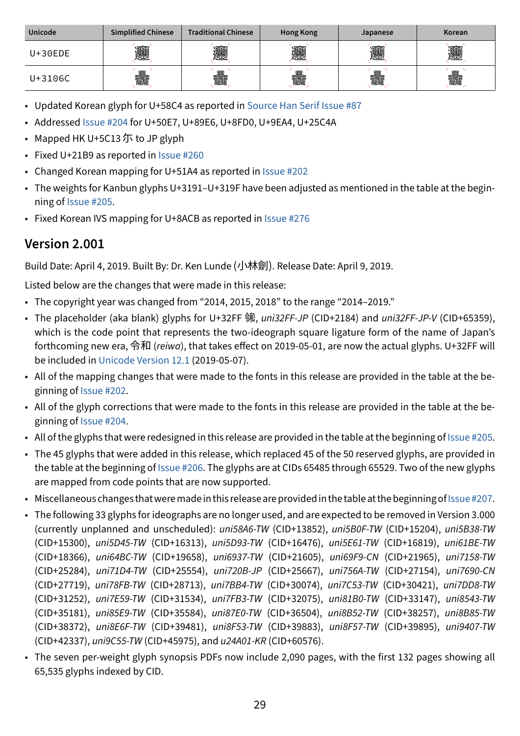| <b>Unicode</b> | <b>Simplified Chinese</b> | <b>Traditional Chinese</b> | <b>Hong Kong</b> | Japanese | Korean |
|----------------|---------------------------|----------------------------|------------------|----------|--------|
| $U+30EDE$      | 依較                        | " !                        |                  |          | 懸      |
| U+3106C        | 龖                         | 龖                          |                  | 龖        | 龖      |

- Updated Korean glyph for U+58C4 as reported in [Source Han Serif Issue #](https://github.com/adobe-fonts/source-han-serif/issues/87)87
- Addressed [Issue #2](https://github.com/adobe-fonts/source-han-sans/issues/204)04 for U+50E7, U+89E6, U+8FD0, U+9EA4, U+25C4A
- Mapped HK U+5C13 尓 to JP glyph
- Fixed U+21B9 as reported in [Issue #](https://github.com/adobe-fonts/source-han-sans/issues/260)260
- Changed Korean mapping for U+51A4 as reported in [Issue #2](https://github.com/adobe-fonts/source-han-sans/issues/202/)02
- The weights for Kanbun glyphs U+3191–U+319F have been adjusted as mentioned in the table at the beginning of [Issue #2](https://github.com/adobe-fonts/source-han-sans/issues/205/)05.
- Fixed Korean IVS mapping for U+8ACB as reported in [Issue #2](https://github.com/adobe-fonts/source-han-sans/issues/276/)76

#### **Version 2.001**

Build Date: April 4, 2019. Built By: Dr. Ken Lunde (小林劍). Release Date: April 9, 2019.

Listed below are the changes that were made in this release:

- The copyright year was changed from "2014, 2015, 2018" to the range "2014–2019."
- The placeholder (aka blank) glyphs for U+32FF ㋿, *uni32FF-JP* (CID+2184) and *uni32FF-JP-V* (CID+65359), which is the code point that represents the two-ideograph square ligature form of the name of Japan's forthcoming new era, 令和 (*reiwa*), that takes effect on 2019-05-01, are now the actual glyphs. U+32FF will be included in [Unicode Version 12.1](https://www.unicode.org/versions/Unicode12.1.0/) (2019-05-07).
- All of the mapping changes that were made to the fonts in this release are provided in the table at the beginning of [Issue #202](https://github.com/adobe-fonts/source-han-sans/issues/202/).
- All of the glyph corrections that were made to the fonts in this release are provided in the table at the beginning of [Issue #204](https://github.com/adobe-fonts/source-han-sans/issues/204/).
- All of the glyphs that were redesigned in this release are provided in the table at the beginning of [Issue #205](https://github.com/adobe-fonts/source-han-sans/issues/205/).
- The 45 glyphs that were added in this release, which replaced 45 of the 50 reserved glyphs, are provided in the table at the beginning of [Issue #206](https://github.com/adobe-fonts/source-han-sans/issues/206/). The glyphs are at CIDs 65485 through 65529. Two of the new glyphs are mapped from code points that are now supported.
- Miscellaneous changes that were made in this release are provided in the table at the beginning of [Issue #207.](https://github.com/adobe-fonts/source-han-sans/issues/207/)
- The following 33 glyphs for ideographs are no longer used, and are expected to be removed in Version 3.000 (currently unplanned and unscheduled): *uni58A6-TW* (CID+13852), *uni5B0F-TW* (CID+15204), *uni5B38-TW* (CID+15300), *uni5D45-TW* (CID+16313), *uni5D93-TW* (CID+16476), *uni5E61-TW* (CID+16819), *uni61BE-TW* (CID+18366), *uni64BC-TW* (CID+19658), *uni6937-TW* (CID+21605), *uni69F9-CN* (CID+21965), *uni7158-TW* (CID+25284), *uni71D4-TW* (CID+25554), *uni720B-JP* (CID+25667), *uni756A-TW* (CID+27154), *uni7690-CN* (CID+27719), *uni78FB-TW* (CID+28713), *uni7BB4-TW* (CID+30074), *uni7C53-TW* (CID+30421), *uni7DD8-TW* (CID+31252), *uni7E59-TW* (CID+31534), *uni7FB3-TW* (CID+32075), *uni81B0-TW* (CID+33147), *uni8543-TW* (CID+35181), *uni85E9-TW* (CID+35584), *uni87E0-TW* (CID+36504), *uni8B52-TW* (CID+38257), *uni8B85-TW* (CID+38372), *uni8E6F-TW* (CID+39481), *uni8F53-TW* (CID+39883), *uni8F57-TW* (CID+39895), *uni9407-TW* (CID+42337), *uni9C55-TW* (CID+45975), and *u24A01-KR* (CID+60576).
- The seven per-weight glyph synopsis PDFs now include 2,090 pages, with the first 132 pages showing all 65,535 glyphs indexed by CID.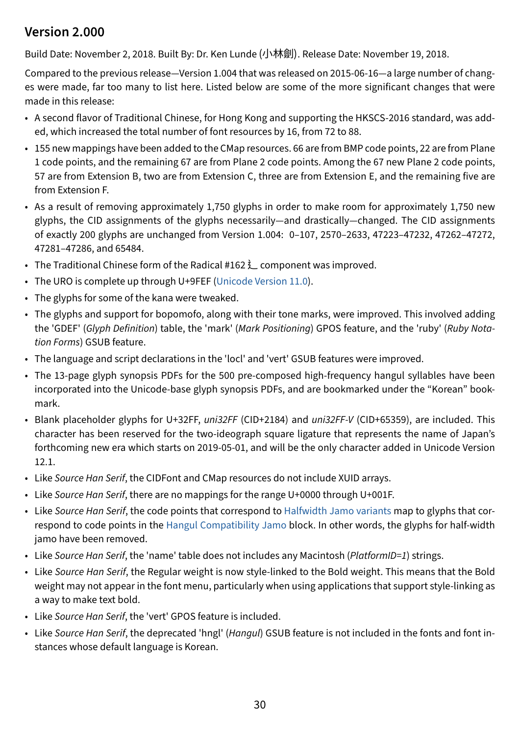#### **Version 2.000**

Build Date: November 2, 2018. Built By: Dr. Ken Lunde (小林劍). Release Date: November 19, 2018.

Compared to the previous release—Version 1.004 that was released on 2015-06-16—a large number of changes were made, far too many to list here. Listed below are some of the more significant changes that were made in this release:

- A second flavor of Traditional Chinese, for Hong Kong and supporting the HKSCS-2016 standard, was added, which increased the total number of font resources by 16, from 72 to 88.
- 155 new mappings have been added to the CMap resources. 66 are from BMP code points, 22 are from Plane 1 code points, and the remaining 67 are from Plane 2 code points. Among the 67 new Plane 2 code points, 57 are from Extension B, two are from Extension C, three are from Extension E, and the remaining five are from Extension F.
- As a result of removing approximately 1,750 glyphs in order to make room for approximately 1,750 new glyphs, the CID assignments of the glyphs necessarily—and drastically—changed. The CID assignments of exactly 200 glyphs are unchanged from Version 1.004: 0–107, 2570–2633, 47223–47232, 47262–47272, 47281–47286, and 65484.
- The Traditional Chinese form of the Radical #162  $\angle$  component was improved.
- The URO is complete up through U+9FEF ([Unicode Version 11.0](https://www.unicode.org/versions/Unicode11.0.0/)).
- The glyphs for some of the kana were tweaked.
- The glyphs and support for bopomofo, along with their tone marks, were improved. This involved adding the 'GDEF' (*Glyph Definition*) table, the 'mark' (*Mark Positioning*) GPOS feature, and the 'ruby' (*Ruby Notation Forms*) GSUB feature.
- The language and script declarations in the 'locl' and 'vert' GSUB features were improved.
- The 13-page glyph synopsis PDFs for the 500 pre-composed high-frequency hangul syllables have been incorporated into the Unicode-base glyph synopsis PDFs, and are bookmarked under the "Korean" bookmark.
- Blank placeholder glyphs for U+32FF, *uni32FF* (CID+2184) and *uni32FF-V* (CID+65359), are included. This character has been reserved for the two-ideograph square ligature that represents the name of Japan's forthcoming new era which starts on 2019-05-01, and will be the only character added in Unicode Version 12.1.
- Like *Source Han Serif*, the CIDFont and CMap resources do not include XUID arrays.
- Like *Source Han Serif*, there are no mappings for the range U+0000 through U+001F.
- Like *Source Han Serif*, the code points that correspond to [Halfwidth Jamo variants](https://www.unicode.org/charts/PDF/UFF00.pdf) map to glyphs that correspond to code points in the [Hangul Compatibility Jamo](https://www.unicode.org/charts/PDF/U3130.pdf) block. In other words, the glyphs for half-width jamo have been removed.
- Like *Source Han Serif*, the 'name' table does not includes any Macintosh (*PlatformID=1*) strings.
- Like *Source Han Serif*, the Regular weight is now style-linked to the Bold weight. This means that the Bold weight may not appear in the font menu, particularly when using applications that support style-linking as a way to make text bold.
- Like *Source Han Serif*, the 'vert' GPOS feature is included.
- Like *Source Han Serif*, the deprecated 'hngl' (*Hangul*) GSUB feature is not included in the fonts and font instances whose default language is Korean.